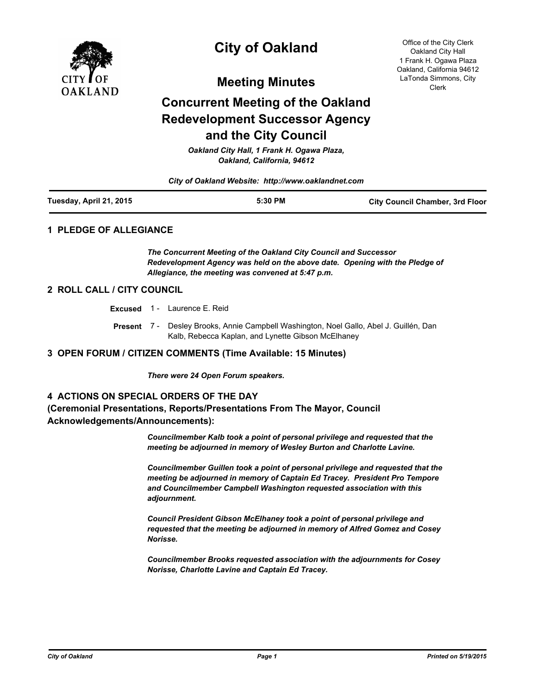

# **City of Oakland**

**Meeting Minutes**

# **Concurrent Meeting of the Oakland Redevelopment Successor Agency and the City Council**

*Oakland City Hall, 1 Frank H. Ogawa Plaza, Oakland, California, 94612*

*City of Oakland Website: http://www.oaklandnet.com*

| Tuesday, April 21, 2015 | 5:30 PM | <b>City Council Chamber, 3rd Floor</b> |
|-------------------------|---------|----------------------------------------|
|                         |         |                                        |

#### **1 PLEDGE OF ALLEGIANCE**

*The Concurrent Meeting of the Oakland City Council and Successor Redevelopment Agency was held on the above date. Opening with the Pledge of Allegiance, the meeting was convened at 5:47 p.m.*

### **2 ROLL CALL / CITY COUNCIL**

**Excused** 1 - Laurence E. Reid

Present 7 - Desley Brooks, Annie Campbell Washington, Noel Gallo, Abel J. Guillén, Dan Kalb, Rebecca Kaplan, and Lynette Gibson McElhaney

#### **3 OPEN FORUM / CITIZEN COMMENTS (Time Available: 15 Minutes)**

*There were 24 Open Forum speakers.*

#### **4 ACTIONS ON SPECIAL ORDERS OF THE DAY**

### **(Ceremonial Presentations, Reports/Presentations From The Mayor, Council Acknowledgements/Announcements):**

*Councilmember Kalb took a point of personal privilege and requested that the meeting be adjourned in memory of Wesley Burton and Charlotte Lavine.*

*Councilmember Guillen took a point of personal privilege and requested that the meeting be adjourned in memory of Captain Ed Tracey. President Pro Tempore and Councilmember Campbell Washington requested association with this adjournment.*

*Council President Gibson McElhaney took a point of personal privilege and requested that the meeting be adjourned in memory of Alfred Gomez and Cosey Norisse.* 

*Councilmember Brooks requested association with the adjournments for Cosey Norisse, Charlotte Lavine and Captain Ed Tracey.*

Office of the City Clerk Oakland City Hall 1 Frank H. Ogawa Plaza Oakland, California 94612 LaTonda Simmons, City Clerk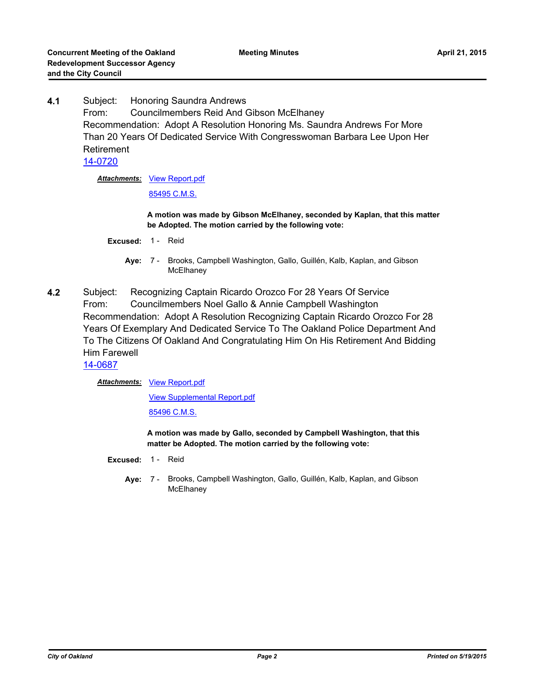**4.1** Subject: Honoring Saundra Andrews From: Councilmembers Reid And Gibson McElhaney Recommendation: Adopt A Resolution Honoring Ms. Saundra Andrews For More Than 20 Years Of Dedicated Service With Congresswoman Barbara Lee Upon Her Retirement [14-0720](http://oakland.legistar.com/gateway.aspx?m=l&id=/matter.aspx?key=24699)

**Attachments: [View Report.pdf](http://oakland.legistar.com/gateway.aspx?M=F&ID=0c6d3188-be2d-48ce-abbf-ee283b1f1325.pdf)** 

[85495 C.M.S.](http://oakland.legistar.com/gateway.aspx?M=F&ID=cb365a4d-2779-41df-a922-1a71af3fcc00.pdf)

**A motion was made by Gibson McElhaney, seconded by Kaplan, that this matter be Adopted. The motion carried by the following vote:**

- **Excused:** 1 Reid
	- Aye: 7 Brooks, Campbell Washington, Gallo, Guillén, Kalb, Kaplan, and Gibson **McElhaney**
- **4.2** Subject: Recognizing Captain Ricardo Orozco For 28 Years Of Service From: Councilmembers Noel Gallo & Annie Campbell Washington Recommendation: Adopt A Resolution Recognizing Captain Ricardo Orozco For 28 Years Of Exemplary And Dedicated Service To The Oakland Police Department And To The Citizens Of Oakland And Congratulating Him On His Retirement And Bidding Him Farewell

[14-0687](http://oakland.legistar.com/gateway.aspx?m=l&id=/matter.aspx?key=24666)

Attachments: [View Report.pdf](http://oakland.legistar.com/gateway.aspx?M=F&ID=81ee09f0-2da4-4eb9-b57d-5b69e95d3a59.pdf)

[View Supplemental Report.pdf](http://oakland.legistar.com/gateway.aspx?M=F&ID=7022ccb3-6914-47ee-84f1-b6e7978ae06c.pdf)

[85496 C.M.S.](http://oakland.legistar.com/gateway.aspx?M=F&ID=fa790103-d21b-4e49-9870-355d27fb479d.pdf)

**A motion was made by Gallo, seconded by Campbell Washington, that this matter be Adopted. The motion carried by the following vote:**

- **Excused:** 1 Reid
	- **Aye:** Brooks, Campbell Washington, Gallo, Guillén, Kalb, Kaplan, and Gibson **McElhaney** Aye: 7 -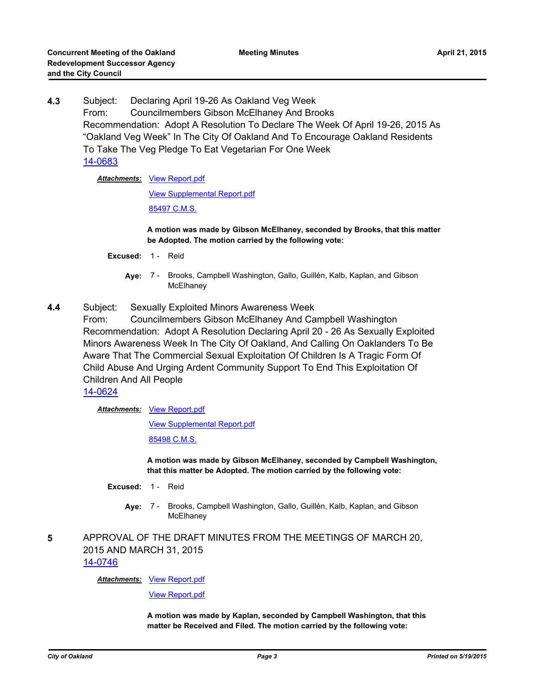**4.3** Subject: Declaring April 19-26 As Oakland Veg Week From: Councilmembers Gibson McElhaney And Brooks Recommendation: Adopt A Resolution To Declare The Week Of April 19-26, 2015 As "Oakland Veg Week" In The City Of Oakland And To Encourage Oakland Residents To Take The Veg Pledge To Eat Vegetarian For One Week [14-0683](http://oakland.legistar.com/gateway.aspx?m=l&id=/matter.aspx?key=24662)

### **Attachments: [View Report.pdf](http://oakland.legistar.com/gateway.aspx?M=F&ID=7bbb812e-d8a7-4732-bb6f-337c1ec1c562.pdf)**

#### [View Supplemental Report.pdf](http://oakland.legistar.com/gateway.aspx?M=F&ID=a07f1cd1-56bd-4de3-b43a-9fb5a749eddb.pdf)

[85497 C.M.S.](http://oakland.legistar.com/gateway.aspx?M=F&ID=2babc58b-a3b9-4976-bc37-a6d6d74b7c10.pdf)

**A motion was made by Gibson McElhaney, seconded by Brooks, that this matter be Adopted. The motion carried by the following vote:**

- **Excused:** 1 Reid
	- Aye: 7 Brooks, Campbell Washington, Gallo, Guillén, Kalb, Kaplan, and Gibson **McElhaney**
- **4.4** Subject: Sexually Exploited Minors Awareness Week
	- From: Councilmembers Gibson McElhaney And Campbell Washington Recommendation: Adopt A Resolution Declaring April 20 - 26 As Sexually Exploited Minors Awareness Week In The City Of Oakland, And Calling On Oaklanders To Be Aware That The Commercial Sexual Exploitation Of Children Is A Tragic Form Of Child Abuse And Urging Ardent Community Support To End This Exploitation Of Children And All People

[14-0624](http://oakland.legistar.com/gateway.aspx?m=l&id=/matter.aspx?key=24603)

**Attachments: [View Report.pdf](http://oakland.legistar.com/gateway.aspx?M=F&ID=c909dcbf-861a-47ad-a4e3-9e61c3712202.pdf)** 

[View Supplemental Report.pdf](http://oakland.legistar.com/gateway.aspx?M=F&ID=e323b320-605e-4e5d-8580-a8fb9a6a39a7.pdf)

[85498 C.M.S.](http://oakland.legistar.com/gateway.aspx?M=F&ID=6847256a-be47-4635-b1f3-30ad7515b361.pdf)

**A motion was made by Gibson McElhaney, seconded by Campbell Washington, that this matter be Adopted. The motion carried by the following vote:**

- **Excused:** 1 Reid
	- Aye: 7 Brooks, Campbell Washington, Gallo, Guillén, Kalb, Kaplan, and Gibson **McElhaney**
- **5** APPROVAL OF THE DRAFT MINUTES FROM THE MEETINGS OF MARCH 20, 2015 AND MARCH 31, 2015 [14-0746](http://oakland.legistar.com/gateway.aspx?m=l&id=/matter.aspx?key=24725)

**Attachments: [View Report.pdf](http://oakland.legistar.com/gateway.aspx?M=F&ID=2c29d2b5-63ed-460c-b12c-69614d08ef7f.pdf)** 

[View Report.pdf](http://oakland.legistar.com/gateway.aspx?M=F&ID=3642e56d-ab6d-4c6c-9d03-bc4275d2a330.pdf)

**A motion was made by Kaplan, seconded by Campbell Washington, that this matter be Received and Filed. The motion carried by the following vote:**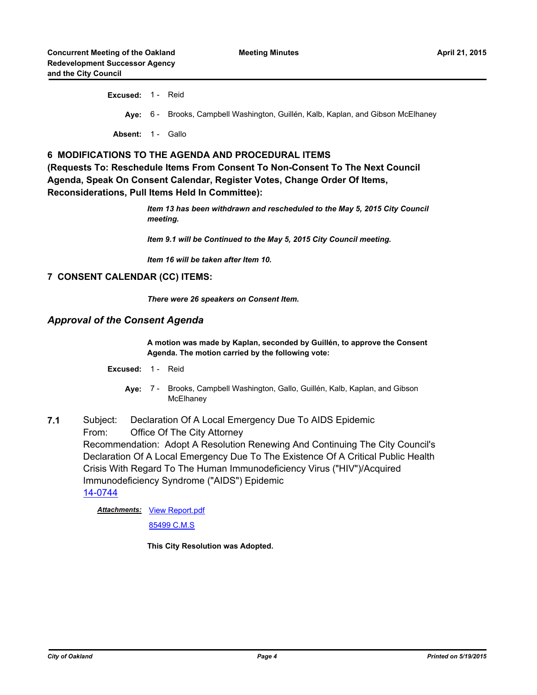**Excused:** 1 - Reid **Aye:** 6 - Brooks, Campbell Washington, Guillén, Kalb, Kaplan, and Gibson McElhaney Absent: 1 - Gallo

### **6 MODIFICATIONS TO THE AGENDA AND PROCEDURAL ITEMS**

**(Requests To: Reschedule Items From Consent To Non-Consent To The Next Council Agenda, Speak On Consent Calendar, Register Votes, Change Order Of Items, Reconsiderations, Pull Items Held In Committee):**

> *Item 13 has been withdrawn and rescheduled to the May 5, 2015 City Council meeting.*

*Item 9.1 will be Continued to the May 5, 2015 City Council meeting.*

*Item 16 will be taken after Item 10.*

### **7 CONSENT CALENDAR (CC) ITEMS:**

*There were 26 speakers on Consent Item.*

### *Approval of the Consent Agenda*

#### **A motion was made by Kaplan, seconded by Guillén, to approve the Consent Agenda. The motion carried by the following vote:**

- **Excused:** 1 Reid
	- Aye: 7 Brooks, Campbell Washington, Gallo, Guillén, Kalb, Kaplan, and Gibson **McElhaney**
- **7.1** Subject: Declaration Of A Local Emergency Due To AIDS Epidemic From: Office Of The City Attorney Recommendation: Adopt A Resolution Renewing And Continuing The City Council's Declaration Of A Local Emergency Due To The Existence Of A Critical Public Health Crisis With Regard To The Human Immunodeficiency Virus ("HIV")/Acquired Immunodeficiency Syndrome ("AIDS") Epidemic [14-0744](http://oakland.legistar.com/gateway.aspx?m=l&id=/matter.aspx?key=24723)

Attachments: [View Report.pdf](http://oakland.legistar.com/gateway.aspx?M=F&ID=66a49ec1-c53e-42f5-bd96-642bd66979ef.pdf)

[85499 C.M.S](http://oakland.legistar.com/gateway.aspx?M=F&ID=a780da3c-ea06-4eab-9a86-b253864945d5.pdf)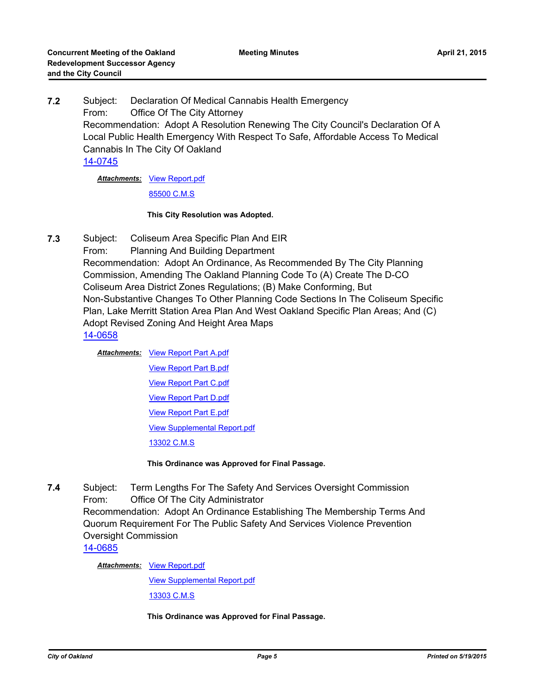**7.2** Subject: Declaration Of Medical Cannabis Health Emergency From: Office Of The City Attorney Recommendation: Adopt A Resolution Renewing The City Council's Declaration Of A Local Public Health Emergency With Respect To Safe, Affordable Access To Medical Cannabis In The City Of Oakland [14-0745](http://oakland.legistar.com/gateway.aspx?m=l&id=/matter.aspx?key=24724)

**Attachments: [View Report.pdf](http://oakland.legistar.com/gateway.aspx?M=F&ID=ea310e11-b674-465f-bd87-de0000b21f83.pdf)** 

[85500 C.M.S](http://oakland.legistar.com/gateway.aspx?M=F&ID=6c7658f9-4cb4-4d33-8310-06391da441c8.pdf)

#### **This City Resolution was Adopted.**

**7.3** Subject: Coliseum Area Specific Plan And EIR

From: Planning And Building Department Recommendation: Adopt An Ordinance, As Recommended By The City Planning Commission, Amending The Oakland Planning Code To (A) Create The D-CO Coliseum Area District Zones Regulations; (B) Make Conforming, But Non-Substantive Changes To Other Planning Code Sections In The Coliseum Specific Plan, Lake Merritt Station Area Plan And West Oakland Specific Plan Areas; And (C) Adopt Revised Zoning And Height Area Maps [14-0658](http://oakland.legistar.com/gateway.aspx?m=l&id=/matter.aspx?key=24637)

- **Attachments:** [View Report Part A.pdf](http://oakland.legistar.com/gateway.aspx?M=F&ID=e36b2f61-ade2-40bf-94bc-6ff178f3d438.pdf) [View Report Part B.pdf](http://oakland.legistar.com/gateway.aspx?M=F&ID=5c2e5b0b-36f9-4483-966c-a62b841b6159.pdf) [View Report Part C.pdf](http://oakland.legistar.com/gateway.aspx?M=F&ID=f57038c2-96b5-4273-94a8-5057f971281e.pdf)
	- [View Report Part D.pdf](http://oakland.legistar.com/gateway.aspx?M=F&ID=a858421d-1a98-4401-b0c0-2de04c5cf68b.pdf)
	- [View Report Part E.pdf](http://oakland.legistar.com/gateway.aspx?M=F&ID=8682fa91-cdcc-4635-b1b6-ec840c992488.pdf)

[View Supplemental Report.pdf](http://oakland.legistar.com/gateway.aspx?M=F&ID=50557b93-4f8f-43b6-b5a5-8fe0ce5e420e.pdf)

[13302 C.M.S](http://oakland.legistar.com/gateway.aspx?M=F&ID=a60c2e98-0339-4f02-a7cd-1f2205ceb9be.pdf)

### **This Ordinance was Approved for Final Passage.**

**7.4** Subject: Term Lengths For The Safety And Services Oversight Commission From: Office Of The City Administrator Recommendation: Adopt An Ordinance Establishing The Membership Terms And Quorum Requirement For The Public Safety And Services Violence Prevention Oversight Commission

[14-0685](http://oakland.legistar.com/gateway.aspx?m=l&id=/matter.aspx?key=24664)

**Attachments: [View Report.pdf](http://oakland.legistar.com/gateway.aspx?M=F&ID=82023a65-1d3a-4fa1-a922-5643cb9c36fe.pdf)** 

[View Supplemental Report.pdf](http://oakland.legistar.com/gateway.aspx?M=F&ID=bb05b689-6996-475b-ba3f-94fc03d65b12.pdf)

[13303 C.M.S](http://oakland.legistar.com/gateway.aspx?M=F&ID=3bf5f0f2-1c83-4666-b510-2ebad482f00b.pdf)

#### **This Ordinance was Approved for Final Passage.**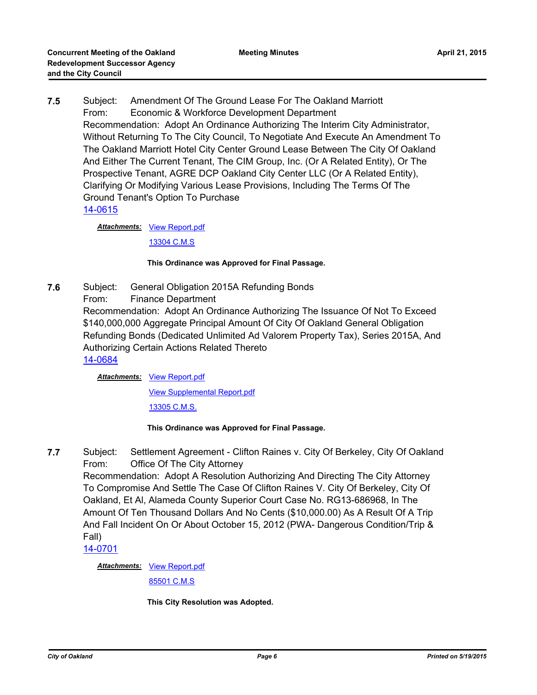**7.5** Subject: Amendment Of The Ground Lease For The Oakland Marriott From: Economic & Workforce Development Department Recommendation: Adopt An Ordinance Authorizing The Interim City Administrator, Without Returning To The City Council, To Negotiate And Execute An Amendment To The Oakland Marriott Hotel City Center Ground Lease Between The City Of Oakland And Either The Current Tenant, The CIM Group, Inc. (Or A Related Entity), Or The Prospective Tenant, AGRE DCP Oakland City Center LLC (Or A Related Entity), Clarifying Or Modifying Various Lease Provisions, Including The Terms Of The Ground Tenant's Option To Purchase [14-0615](http://oakland.legistar.com/gateway.aspx?m=l&id=/matter.aspx?key=24594)

**Attachments: [View Report.pdf](http://oakland.legistar.com/gateway.aspx?M=F&ID=d12845ba-1627-4db0-9e7d-453ab39be733.pdf)** 

[13304 C.M.S](http://oakland.legistar.com/gateway.aspx?M=F&ID=a679a46a-e411-4ee4-b988-28323f69cec2.pdf)

### **This Ordinance was Approved for Final Passage.**

**7.6** Subject: General Obligation 2015A Refunding Bonds From: Finance Department Recommendation: Adopt An Ordinance Authorizing The Issuance Of Not To Exceed \$140,000,000 Aggregate Principal Amount Of City Of Oakland General Obligation Refunding Bonds (Dedicated Unlimited Ad Valorem Property Tax), Series 2015A, And Authorizing Certain Actions Related Thereto [14-0684](http://oakland.legistar.com/gateway.aspx?m=l&id=/matter.aspx?key=24663)

### **Attachments: [View Report.pdf](http://oakland.legistar.com/gateway.aspx?M=F&ID=a7575b98-ef66-4140-9e9e-d59f472f6aa0.pdf)**

[View Supplemental Report.pdf](http://oakland.legistar.com/gateway.aspx?M=F&ID=2c6cef5f-06c3-421d-98e2-36ed14f748ac.pdf)

[13305 C.M.S.](http://oakland.legistar.com/gateway.aspx?M=F&ID=b2817089-c13a-4ccd-a02c-a8ec4d75b364.pdf)

### **This Ordinance was Approved for Final Passage.**

**7.7** Subject: Settlement Agreement - Clifton Raines v. City Of Berkeley, City Of Oakland From: Office Of The City Attorney

Recommendation: Adopt A Resolution Authorizing And Directing The City Attorney To Compromise And Settle The Case Of Clifton Raines V. City Of Berkeley, City Of Oakland, Et Al, Alameda County Superior Court Case No. RG13-686968, In The Amount Of Ten Thousand Dollars And No Cents (\$10,000.00) As A Result Of A Trip And Fall Incident On Or About October 15, 2012 (PWA- Dangerous Condition/Trip & Fall)

[14-0701](http://oakland.legistar.com/gateway.aspx?m=l&id=/matter.aspx?key=24680)

Attachments: [View Report.pdf](http://oakland.legistar.com/gateway.aspx?M=F&ID=41addd05-0047-422b-8e78-ae2d2c64cef5.pdf) [85501 C.M.S](http://oakland.legistar.com/gateway.aspx?M=F&ID=a0cf3fdd-b8c2-4da5-9a8e-d6d6ccea0b11.pdf)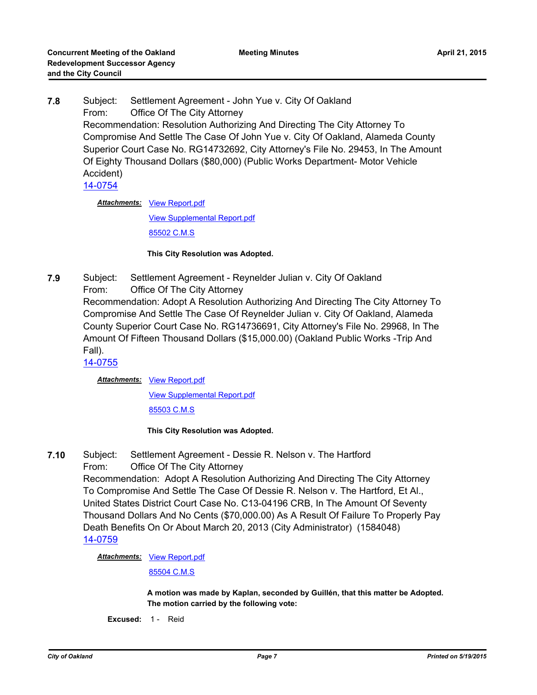**7.8** Subject: Settlement Agreement - John Yue v. City Of Oakland From: Office Of The City Attorney Recommendation: Resolution Authorizing And Directing The City Attorney To Compromise And Settle The Case Of John Yue v. City Of Oakland, Alameda County Superior Court Case No. RG14732692, City Attorney's File No. 29453, In The Amount Of Eighty Thousand Dollars (\$80,000) (Public Works Department- Motor Vehicle Accident)

[14-0754](http://oakland.legistar.com/gateway.aspx?m=l&id=/matter.aspx?key=24733)

Attachments: [View Report.pdf](http://oakland.legistar.com/gateway.aspx?M=F&ID=99c37136-819a-4004-8885-8fee61ce98ce.pdf) [View Supplemental Report.pdf](http://oakland.legistar.com/gateway.aspx?M=F&ID=aee1065e-fbf7-44a0-88f8-058fc48179af.pdf) [85502 C.M.S](http://oakland.legistar.com/gateway.aspx?M=F&ID=ff8a3b17-0796-401f-a38c-e0850d21b956.pdf)

### **This City Resolution was Adopted.**

**7.9** Subject: Settlement Agreement - Reynelder Julian v. City Of Oakland From: Office Of The City Attorney Recommendation: Adopt A Resolution Authorizing And Directing The City Attorney To Compromise And Settle The Case Of Reynelder Julian v. City Of Oakland, Alameda County Superior Court Case No. RG14736691, City Attorney's File No. 29968, In The Amount Of Fifteen Thousand Dollars (\$15,000.00) (Oakland Public Works -Trip And Fall).

[14-0755](http://oakland.legistar.com/gateway.aspx?m=l&id=/matter.aspx?key=24734)

Attachments: [View Report.pdf](http://oakland.legistar.com/gateway.aspx?M=F&ID=0fa62f3e-b106-4284-8e79-2dd4829fb50a.pdf)

[View Supplemental Report.pdf](http://oakland.legistar.com/gateway.aspx?M=F&ID=ca80ec32-a563-4ad5-a46c-00f28bdb7d8a.pdf)

[85503 C.M.S](http://oakland.legistar.com/gateway.aspx?M=F&ID=11a11b35-e63c-4a69-b6ca-701048a98b76.pdf)

### **This City Resolution was Adopted.**

**7.10** Subject: Settlement Agreement - Dessie R. Nelson v. The Hartford From: Office Of The City Attorney Recommendation: Adopt A Resolution Authorizing And Directing The City Attorney To Compromise And Settle The Case Of Dessie R. Nelson v. The Hartford, Et Al., United States District Court Case No. C13-04196 CRB, In The Amount Of Seventy Thousand Dollars And No Cents (\$70,000.00) As A Result Of Failure To Properly Pay Death Benefits On Or About March 20, 2013 (City Administrator) (1584048) [14-0759](http://oakland.legistar.com/gateway.aspx?m=l&id=/matter.aspx?key=24738)

**Attachments: [View Report.pdf](http://oakland.legistar.com/gateway.aspx?M=F&ID=9756a374-1f01-4411-93ce-2ec0d64900ce.pdf)** 

[85504 C.M.S](http://oakland.legistar.com/gateway.aspx?M=F&ID=3995137b-81ab-4691-b8a7-613c1404b7fc.pdf)

**A motion was made by Kaplan, seconded by Guillén, that this matter be Adopted. The motion carried by the following vote:**

**Excused:** 1 - Reid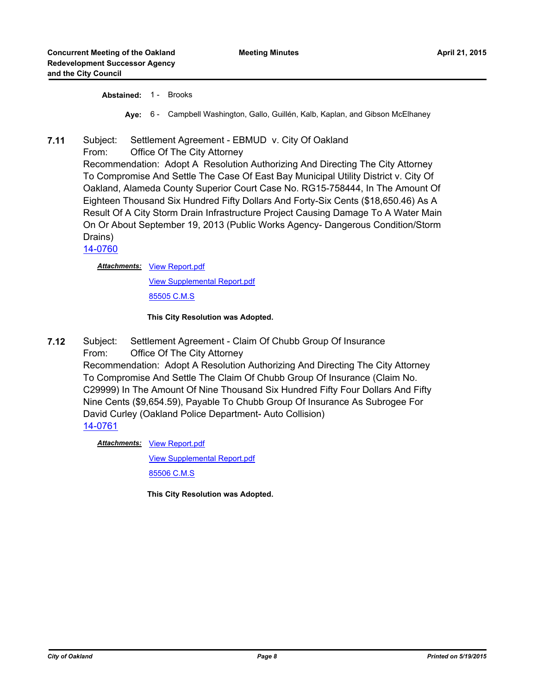**Abstained:** 1 - Brooks

**Aye:** 6 - Campbell Washington, Gallo, Guillén, Kalb, Kaplan, and Gibson McElhaney

### **7.11** Subject: Settlement Agreement - EBMUD v. City Of Oakland

From: Office Of The City Attorney

Recommendation: Adopt A Resolution Authorizing And Directing The City Attorney To Compromise And Settle The Case Of East Bay Municipal Utility District v. City Of Oakland, Alameda County Superior Court Case No. RG15-758444, In The Amount Of Eighteen Thousand Six Hundred Fifty Dollars And Forty-Six Cents (\$18,650.46) As A Result Of A City Storm Drain Infrastructure Project Causing Damage To A Water Main On Or About September 19, 2013 (Public Works Agency- Dangerous Condition/Storm Drains)

[14-0760](http://oakland.legistar.com/gateway.aspx?m=l&id=/matter.aspx?key=24739)

Attachments: [View Report.pdf](http://oakland.legistar.com/gateway.aspx?M=F&ID=a93f4b1c-4ecc-4dea-96ce-fcd80d8c8bf2.pdf)

[View Supplemental Report.pdf](http://oakland.legistar.com/gateway.aspx?M=F&ID=124a17a3-7a1a-45e5-a539-339071a94a0c.pdf)

[85505 C.M.S](http://oakland.legistar.com/gateway.aspx?M=F&ID=4493bdd6-baff-4682-b66d-c8c66ad689fb.pdf)

#### **This City Resolution was Adopted.**

**7.12** Subject: Settlement Agreement - Claim Of Chubb Group Of Insurance From: Office Of The City Attorney Recommendation: Adopt A Resolution Authorizing And Directing The City Attorney To Compromise And Settle The Claim Of Chubb Group Of Insurance (Claim No. C29999) In The Amount Of Nine Thousand Six Hundred Fifty Four Dollars And Fifty Nine Cents (\$9,654.59), Payable To Chubb Group Of Insurance As Subrogee For David Curley (Oakland Police Department- Auto Collision) [14-0761](http://oakland.legistar.com/gateway.aspx?m=l&id=/matter.aspx?key=24740)

Attachments: [View Report.pdf](http://oakland.legistar.com/gateway.aspx?M=F&ID=7815e78b-bbec-4427-bdfe-eb741163a296.pdf)

[View Supplemental Report.pdf](http://oakland.legistar.com/gateway.aspx?M=F&ID=a1f862ac-792a-459f-adcd-25ac20378f94.pdf) [85506 C.M.S](http://oakland.legistar.com/gateway.aspx?M=F&ID=efb9bcbe-2c9e-466e-996c-9f56ace20661.pdf)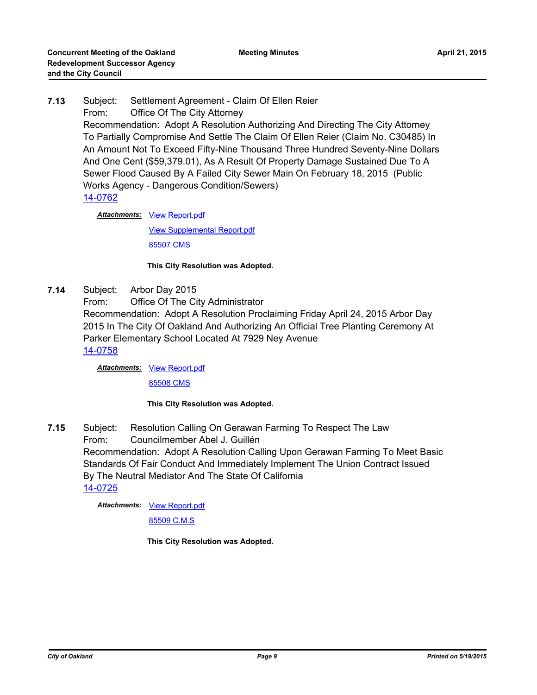# **7.13** Subject: Settlement Agreement - Claim Of Ellen Reier From: Office Of The City Attorney Recommendation: Adopt A Resolution Authorizing And Directing The City Attorney To Partially Compromise And Settle The Claim Of Ellen Reier (Claim No. C30485) In An Amount Not To Exceed Fifty-Nine Thousand Three Hundred Seventy-Nine Dollars And One Cent (\$59,379.01), As A Result Of Property Damage Sustained Due To A Sewer Flood Caused By A Failed City Sewer Main On February 18, 2015 (Public Works Agency - Dangerous Condition/Sewers) [14-0762](http://oakland.legistar.com/gateway.aspx?m=l&id=/matter.aspx?key=24741)

Attachments: [View Report.pdf](http://oakland.legistar.com/gateway.aspx?M=F&ID=ef78f8c4-b7a9-4cc2-b942-56e2bf593d9b.pdf)

[View Supplemental Report.pdf](http://oakland.legistar.com/gateway.aspx?M=F&ID=1a133cb0-fc05-43de-8770-2c0d607d7ecd.pdf)

[85507 CMS](http://oakland.legistar.com/gateway.aspx?M=F&ID=9c4bed81-c3eb-4656-9629-689cb0447623.pdf)

### **This City Resolution was Adopted.**

- **7.14** Subject: Arbor Day 2015
	- From: Office Of The City Administrator Recommendation: Adopt A Resolution Proclaiming Friday April 24, 2015 Arbor Day 2015 In The City Of Oakland And Authorizing An Official Tree Planting Ceremony At Parker Elementary School Located At 7929 Ney Avenue

[14-0758](http://oakland.legistar.com/gateway.aspx?m=l&id=/matter.aspx?key=24737)

Attachments: [View Report.pdf](http://oakland.legistar.com/gateway.aspx?M=F&ID=96c86322-9128-4e65-9d14-e540fda6bd7a.pdf)

[85508 CMS](http://oakland.legistar.com/gateway.aspx?M=F&ID=b4b2ade4-3290-4953-90a1-0f6702a09615.pdf)

### **This City Resolution was Adopted.**

**7.15** Subject: Resolution Calling On Gerawan Farming To Respect The Law From: Councilmember Abel J. Guillén Recommendation: Adopt A Resolution Calling Upon Gerawan Farming To Meet Basic Standards Of Fair Conduct And Immediately Implement The Union Contract Issued By The Neutral Mediator And The State Of California [14-0725](http://oakland.legistar.com/gateway.aspx?m=l&id=/matter.aspx?key=24704)

Attachments: [View Report.pdf](http://oakland.legistar.com/gateway.aspx?M=F&ID=6b31a070-487b-4d14-917a-7bf53c971e11.pdf)

[85509 C.M.S](http://oakland.legistar.com/gateway.aspx?M=F&ID=34957ebb-a890-4281-b867-a7c4b5680038.pdf)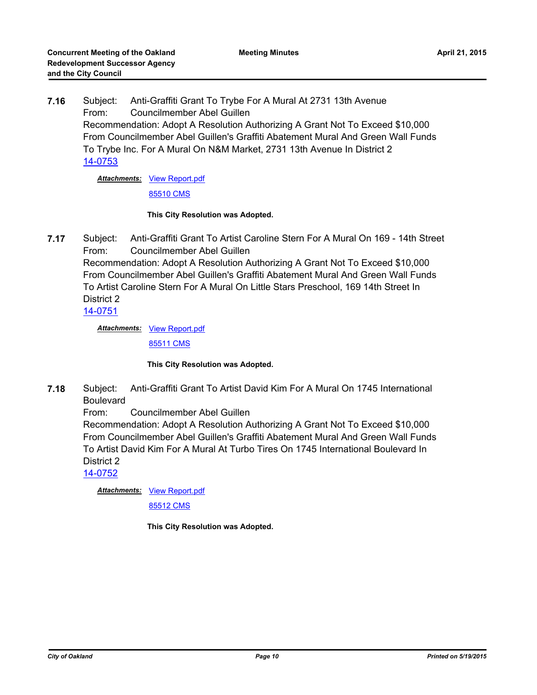**and the City Council**

**7.16** Subject: Anti-Graffiti Grant To Trybe For A Mural At 2731 13th Avenue From: Councilmember Abel Guillen Recommendation: Adopt A Resolution Authorizing A Grant Not To Exceed \$10,000 From Councilmember Abel Guillen's Graffiti Abatement Mural And Green Wall Funds To Trybe Inc. For A Mural On N&M Market, 2731 13th Avenue In District 2 [14-0753](http://oakland.legistar.com/gateway.aspx?m=l&id=/matter.aspx?key=24732)

**Meeting Minutes**

**Attachments: [View Report.pdf](http://oakland.legistar.com/gateway.aspx?M=F&ID=f00b0afa-d42f-47d9-905b-a1ed95e6acad.pdf)** 

[85510 CMS](http://oakland.legistar.com/gateway.aspx?M=F&ID=a577ac4c-7190-424f-b1c3-29b355bde121.pdf)

#### **This City Resolution was Adopted.**

**7.17** Subject: Anti-Graffiti Grant To Artist Caroline Stern For A Mural On 169 - 14th Street From: Councilmember Abel Guillen Recommendation: Adopt A Resolution Authorizing A Grant Not To Exceed \$10,000 From Councilmember Abel Guillen's Graffiti Abatement Mural And Green Wall Funds To Artist Caroline Stern For A Mural On Little Stars Preschool, 169 14th Street In District 2 [14-0751](http://oakland.legistar.com/gateway.aspx?m=l&id=/matter.aspx?key=24730)

Attachments: [View Report.pdf](http://oakland.legistar.com/gateway.aspx?M=F&ID=8d32b194-76e1-431e-8241-446433b4341e.pdf)

[85511 CMS](http://oakland.legistar.com/gateway.aspx?M=F&ID=eab985d8-975d-47d7-a218-0aaf196ad8be.pdf)

### **This City Resolution was Adopted.**

**7.18** Subject: Anti-Graffiti Grant To Artist David Kim For A Mural On 1745 International Boulevard

From: Councilmember Abel Guillen

Recommendation: Adopt A Resolution Authorizing A Grant Not To Exceed \$10,000 From Councilmember Abel Guillen's Graffiti Abatement Mural And Green Wall Funds To Artist David Kim For A Mural At Turbo Tires On 1745 International Boulevard In District 2

[14-0752](http://oakland.legistar.com/gateway.aspx?m=l&id=/matter.aspx?key=24731)

**Attachments: [View Report.pdf](http://oakland.legistar.com/gateway.aspx?M=F&ID=2f604995-54ec-4a94-805d-fec84c08be2f.pdf)** 

[85512 CMS](http://oakland.legistar.com/gateway.aspx?M=F&ID=553109b5-d2be-4b2e-ae76-5c3a7cc2229e.pdf)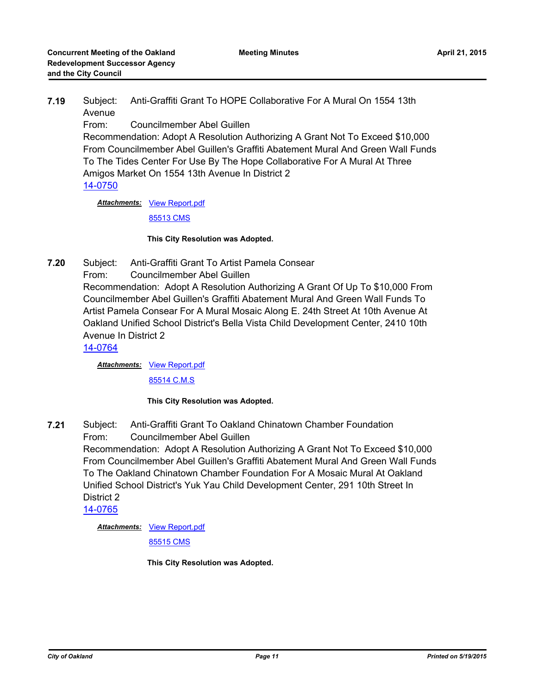**7.19** Subject: Anti-Graffiti Grant To HOPE Collaborative For A Mural On 1554 13th Avenue

From: Councilmember Abel Guillen

Recommendation: Adopt A Resolution Authorizing A Grant Not To Exceed \$10,000 From Councilmember Abel Guillen's Graffiti Abatement Mural And Green Wall Funds To The Tides Center For Use By The Hope Collaborative For A Mural At Three Amigos Market On 1554 13th Avenue In District 2 [14-0750](http://oakland.legistar.com/gateway.aspx?m=l&id=/matter.aspx?key=24729)

Attachments: [View Report.pdf](http://oakland.legistar.com/gateway.aspx?M=F&ID=dbe975d9-a9aa-43db-9505-76db39374d3c.pdf) [85513 CMS](http://oakland.legistar.com/gateway.aspx?M=F&ID=c7a979c2-54cc-40e3-bb4a-efb85bd2eb2a.pdf)

### **This City Resolution was Adopted.**

**7.20** Subject: Anti-Graffiti Grant To Artist Pamela Consear

From: Councilmember Abel Guillen

Recommendation: Adopt A Resolution Authorizing A Grant Of Up To \$10,000 From Councilmember Abel Guillen's Graffiti Abatement Mural And Green Wall Funds To Artist Pamela Consear For A Mural Mosaic Along E. 24th Street At 10th Avenue At Oakland Unified School District's Bella Vista Child Development Center, 2410 10th Avenue In District 2

[14-0764](http://oakland.legistar.com/gateway.aspx?m=l&id=/matter.aspx?key=24743)

**Attachments: [View Report.pdf](http://oakland.legistar.com/gateway.aspx?M=F&ID=57862fd9-ec87-4c76-988d-cb41469794e0.pdf)** 

[85514 C.M.S](http://oakland.legistar.com/gateway.aspx?M=F&ID=3ac9f1bc-3a60-4917-80af-ab819d3c2991.pdf)

### **This City Resolution was Adopted.**

**7.21** Subject: Anti-Graffiti Grant To Oakland Chinatown Chamber Foundation From: Councilmember Abel Guillen Recommendation: Adopt A Resolution Authorizing A Grant Not To Exceed \$10,000 From Councilmember Abel Guillen's Graffiti Abatement Mural And Green Wall Funds To The Oakland Chinatown Chamber Foundation For A Mosaic Mural At Oakland Unified School District's Yuk Yau Child Development Center, 291 10th Street In District 2 [14-0765](http://oakland.legistar.com/gateway.aspx?m=l&id=/matter.aspx?key=24744)

Attachments: [View Report.pdf](http://oakland.legistar.com/gateway.aspx?M=F&ID=625d3c85-8177-4f38-a2d0-fe34557f47d6.pdf)

[85515 CMS](http://oakland.legistar.com/gateway.aspx?M=F&ID=e4ad978f-8cdf-42b5-8d92-7c575beb08f5.pdf)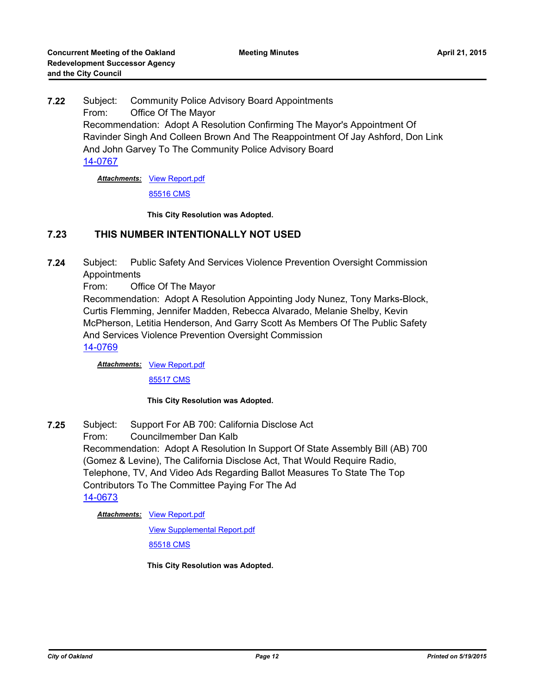**7.22** Subject: Community Police Advisory Board Appointments From: Office Of The Mayor Recommendation: Adopt A Resolution Confirming The Mayor's Appointment Of Ravinder Singh And Colleen Brown And The Reappointment Of Jay Ashford, Don Link And John Garvey To The Community Police Advisory Board [14-0767](http://oakland.legistar.com/gateway.aspx?m=l&id=/matter.aspx?key=24746)

**Attachments: [View Report.pdf](http://oakland.legistar.com/gateway.aspx?M=F&ID=8092c7eb-11e0-470c-b0c8-59de5aa19537.pdf)** 

[85516 CMS](http://oakland.legistar.com/gateway.aspx?M=F&ID=5544afe0-9c07-4270-8037-0cdb2858827f.pdf)

**This City Resolution was Adopted.**

### **7.23 THIS NUMBER INTENTIONALLY NOT USED**

**7.24** Subject: Public Safety And Services Violence Prevention Oversight Commission Appointments

From: Office Of The Mayor

Recommendation: Adopt A Resolution Appointing Jody Nunez, Tony Marks-Block, Curtis Flemming, Jennifer Madden, Rebecca Alvarado, Melanie Shelby, Kevin McPherson, Letitia Henderson, And Garry Scott As Members Of The Public Safety And Services Violence Prevention Oversight Commission

[14-0769](http://oakland.legistar.com/gateway.aspx?m=l&id=/matter.aspx?key=24748)

**Attachments: [View Report.pdf](http://oakland.legistar.com/gateway.aspx?M=F&ID=0d162a52-ff3e-4e8c-9f22-b1ec98029d78.pdf)** 

[85517 CMS](http://oakland.legistar.com/gateway.aspx?M=F&ID=b2ff5375-dead-4dc5-8d63-a5c153d4e029.pdf)

### **This City Resolution was Adopted.**

**7.25** Subject: Support For AB 700: California Disclose Act From: Councilmember Dan Kalb Recommendation: Adopt A Resolution In Support Of State Assembly Bill (AB) 700 (Gomez & Levine), The California Disclose Act, That Would Require Radio, Telephone, TV, And Video Ads Regarding Ballot Measures To State The Top Contributors To The Committee Paying For The Ad [14-0673](http://oakland.legistar.com/gateway.aspx?m=l&id=/matter.aspx?key=24652)

**Attachments: [View Report.pdf](http://oakland.legistar.com/gateway.aspx?M=F&ID=9c1872fd-769d-4e0e-a0f2-2308bb37bb17.pdf)** 

[View Supplemental Report.pdf](http://oakland.legistar.com/gateway.aspx?M=F&ID=e18aae94-70af-4d3e-8a36-b3ee719e9134.pdf)

[85518 CMS](http://oakland.legistar.com/gateway.aspx?M=F&ID=5eb59191-f53a-42ad-8410-d0ae693ef0c9.pdf)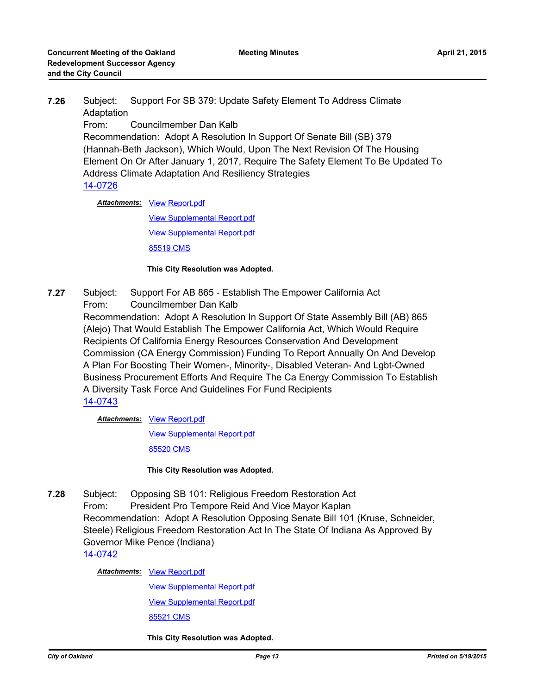**7.26** Subject: Support For SB 379: Update Safety Element To Address Climate Adaptation From: Councilmember Dan Kalb Recommendation: Adopt A Resolution In Support Of Senate Bill (SB) 379 (Hannah-Beth Jackson), Which Would, Upon The Next Revision Of The Housing Element On Or After January 1, 2017, Require The Safety Element To Be Updated To Address Climate Adaptation And Resiliency Strategies [14-0726](http://oakland.legistar.com/gateway.aspx?m=l&id=/matter.aspx?key=24705)

Attachments: [View Report.pdf](http://oakland.legistar.com/gateway.aspx?M=F&ID=90f49f65-0665-4dd2-9678-ef5853002899.pdf)

[View Supplemental Report.pdf](http://oakland.legistar.com/gateway.aspx?M=F&ID=373c4fe9-0c83-42a0-b79f-0351657320ee.pdf) [View Supplemental Report.pdf](http://oakland.legistar.com/gateway.aspx?M=F&ID=21e85e82-1dcb-4293-be7d-642456306818.pdf)

[85519 CMS](http://oakland.legistar.com/gateway.aspx?M=F&ID=834cd49a-b340-46b0-a199-2bdb444f4ae5.pdf)

### **This City Resolution was Adopted.**

**7.27** Subject: Support For AB 865 - Establish The Empower California Act From: Councilmember Dan Kalb Recommendation: Adopt A Resolution In Support Of State Assembly Bill (AB) 865 (Alejo) That Would Establish The Empower California Act, Which Would Require Recipients Of California Energy Resources Conservation And Development Commission (CA Energy Commission) Funding To Report Annually On And Develop A Plan For Boosting Their Women-, Minority-, Disabled Veteran- And Lgbt-Owned Business Procurement Efforts And Require The Ca Energy Commission To Establish A Diversity Task Force And Guidelines For Fund Recipients [14-0743](http://oakland.legistar.com/gateway.aspx?m=l&id=/matter.aspx?key=24722)

Attachments: [View Report.pdf](http://oakland.legistar.com/gateway.aspx?M=F&ID=021220d2-70c5-48ed-aa24-5743fe80fb03.pdf)

[View Supplemental Report.pdf](http://oakland.legistar.com/gateway.aspx?M=F&ID=fe05e403-3b24-4d34-bf3d-65f24733a51f.pdf)

[85520 CMS](http://oakland.legistar.com/gateway.aspx?M=F&ID=92325c7e-3080-49ff-9bb6-2ba6dd3e67de.pdf)

**This City Resolution was Adopted.**

**7.28** Subject: Opposing SB 101: Religious Freedom Restoration Act From: President Pro Tempore Reid And Vice Mayor Kaplan Recommendation: Adopt A Resolution Opposing Senate Bill 101 (Kruse, Schneider, Steele) Religious Freedom Restoration Act In The State Of Indiana As Approved By Governor Mike Pence (Indiana) [14-0742](http://oakland.legistar.com/gateway.aspx?m=l&id=/matter.aspx?key=24721)

**Attachments: [View Report.pdf](http://oakland.legistar.com/gateway.aspx?M=F&ID=0b544221-7bcc-4862-b979-5ccb7075e3c5.pdf)** 

[View Supplemental Report.pdf](http://oakland.legistar.com/gateway.aspx?M=F&ID=999df35c-75e4-4337-bd40-c570369be784.pdf) [View Supplemental Report.pdf](http://oakland.legistar.com/gateway.aspx?M=F&ID=14be1ccc-a5a0-4bcb-ba2a-cf48fbe277e3.pdf) [85521 CMS](http://oakland.legistar.com/gateway.aspx?M=F&ID=7e6e2077-8e65-433c-81ca-b0a09a293888.pdf)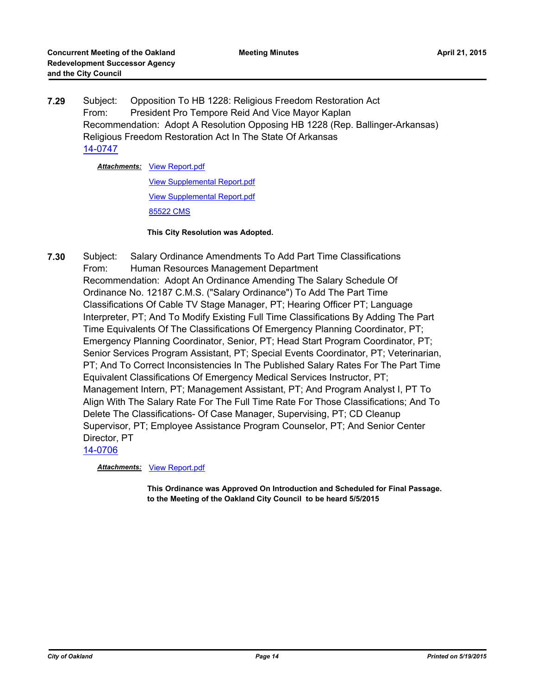**7.29** Subject: Opposition To HB 1228: Religious Freedom Restoration Act From: President Pro Tempore Reid And Vice Mayor Kaplan Recommendation: Adopt A Resolution Opposing HB 1228 (Rep. Ballinger-Arkansas) Religious Freedom Restoration Act In The State Of Arkansas [14-0747](http://oakland.legistar.com/gateway.aspx?m=l&id=/matter.aspx?key=24726)

**Attachments: [View Report.pdf](http://oakland.legistar.com/gateway.aspx?M=F&ID=ece8a956-2eb0-4d64-b5ad-fbaf614691bb.pdf)** 

[View Supplemental Report.pdf](http://oakland.legistar.com/gateway.aspx?M=F&ID=3952b023-8957-44aa-9a5b-2a92f270a056.pdf) [View Supplemental Report.pdf](http://oakland.legistar.com/gateway.aspx?M=F&ID=e0f58796-290c-43a8-bece-0ac4247be5ab.pdf) [85522 CMS](http://oakland.legistar.com/gateway.aspx?M=F&ID=797c4723-8fb5-4ce8-8a16-de4a67d92184.pdf)

#### **This City Resolution was Adopted.**

**7.30** Subject: Salary Ordinance Amendments To Add Part Time Classifications From: Human Resources Management Department Recommendation: Adopt An Ordinance Amending The Salary Schedule Of Ordinance No. 12187 C.M.S. ("Salary Ordinance") To Add The Part Time Classifications Of Cable TV Stage Manager, PT; Hearing Officer PT; Language Interpreter, PT; And To Modify Existing Full Time Classifications By Adding The Part Time Equivalents Of The Classifications Of Emergency Planning Coordinator, PT; Emergency Planning Coordinator, Senior, PT; Head Start Program Coordinator, PT; Senior Services Program Assistant, PT; Special Events Coordinator, PT; Veterinarian, PT; And To Correct Inconsistencies In The Published Salary Rates For The Part Time Equivalent Classifications Of Emergency Medical Services Instructor, PT; Management Intern, PT; Management Assistant, PT; And Program Analyst I, PT To Align With The Salary Rate For The Full Time Rate For Those Classifications; And To Delete The Classifications- Of Case Manager, Supervising, PT; CD Cleanup Supervisor, PT; Employee Assistance Program Counselor, PT; And Senior Center Director, PT [14-0706](http://oakland.legistar.com/gateway.aspx?m=l&id=/matter.aspx?key=24685)

*Attachments:* [View Report.pdf](http://oakland.legistar.com/gateway.aspx?M=F&ID=81bc731a-2b2b-4ea8-ae6a-f4fa80226675.pdf)

**This Ordinance was Approved On Introduction and Scheduled for Final Passage. to the Meeting of the Oakland City Council to be heard 5/5/2015**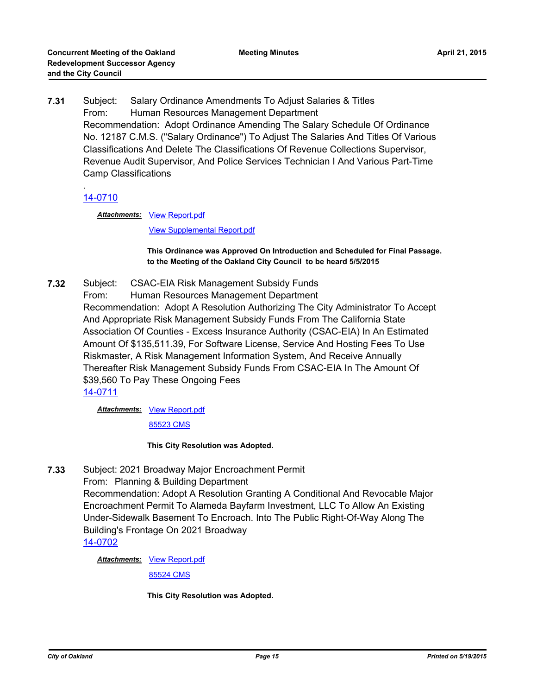**7.31** Subject: Salary Ordinance Amendments To Adjust Salaries & Titles From: Human Resources Management Department Recommendation: Adopt Ordinance Amending The Salary Schedule Of Ordinance No. 12187 C.M.S. ("Salary Ordinance") To Adjust The Salaries And Titles Of Various Classifications And Delete The Classifications Of Revenue Collections Supervisor, Revenue Audit Supervisor, And Police Services Technician I And Various Part-Time Camp Classifications

### . [14-0710](http://oakland.legistar.com/gateway.aspx?m=l&id=/matter.aspx?key=24689)

Attachments: [View Report.pdf](http://oakland.legistar.com/gateway.aspx?M=F&ID=c466cfb5-944f-49c5-8fb0-28af10a3d5e8.pdf)

[View Supplemental Report.pdf](http://oakland.legistar.com/gateway.aspx?M=F&ID=5993560d-4f51-4964-b726-ab1ff1c1151c.pdf)

#### **This Ordinance was Approved On Introduction and Scheduled for Final Passage. to the Meeting of the Oakland City Council to be heard 5/5/2015**

**7.32** Subject: CSAC-EIA Risk Management Subsidy Funds From: Human Resources Management Department Recommendation: Adopt A Resolution Authorizing The City Administrator To Accept And Appropriate Risk Management Subsidy Funds From The California State Association Of Counties - Excess Insurance Authority (CSAC-EIA) In An Estimated Amount Of \$135,511.39, For Software License, Service And Hosting Fees To Use Riskmaster, A Risk Management Information System, And Receive Annually Thereafter Risk Management Subsidy Funds From CSAC-EIA In The Amount Of \$39,560 To Pay These Ongoing Fees [14-0711](http://oakland.legistar.com/gateway.aspx?m=l&id=/matter.aspx?key=24690)

Attachments: [View Report.pdf](http://oakland.legistar.com/gateway.aspx?M=F&ID=b189f4f1-c1db-48b3-a6a2-3be5845f0528.pdf)

[85523 CMS](http://oakland.legistar.com/gateway.aspx?M=F&ID=a92b5013-3683-4379-aec7-cf0834dcbfb0.pdf)

**This City Resolution was Adopted.**

**7.33** Subject: 2021 Broadway Major Encroachment Permit

From: Planning & Building Department Recommendation: Adopt A Resolution Granting A Conditional And Revocable Major Encroachment Permit To Alameda Bayfarm Investment, LLC To Allow An Existing Under-Sidewalk Basement To Encroach. Into The Public Right-Of-Way Along The Building's Frontage On 2021 Broadway

[14-0702](http://oakland.legistar.com/gateway.aspx?m=l&id=/matter.aspx?key=24681)

**Attachments: [View Report.pdf](http://oakland.legistar.com/gateway.aspx?M=F&ID=edcdb5e8-7124-444e-aa1e-37a774ec59c3.pdf)** 

[85524 CMS](http://oakland.legistar.com/gateway.aspx?M=F&ID=83cd17ce-e527-4f0a-9c9c-e640c0217900.pdf)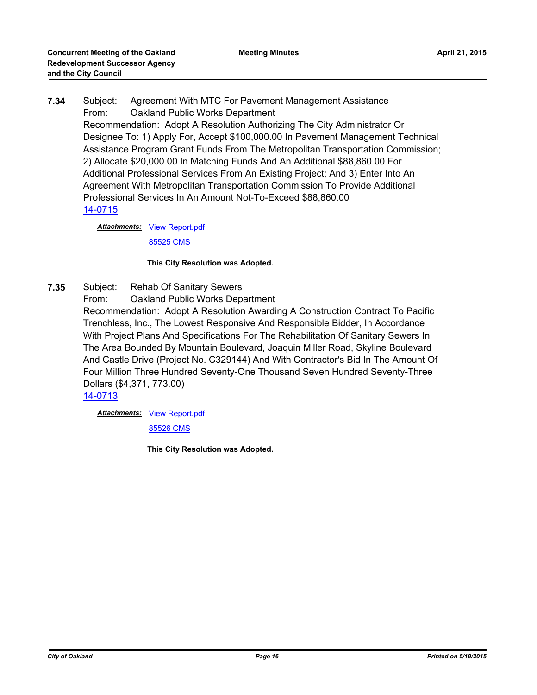**7.34** Subject: Agreement With MTC For Pavement Management Assistance From: Oakland Public Works Department Recommendation: Adopt A Resolution Authorizing The City Administrator Or Designee To: 1) Apply For, Accept \$100,000.00 In Pavement Management Technical Assistance Program Grant Funds From The Metropolitan Transportation Commission; 2) Allocate \$20,000.00 In Matching Funds And An Additional \$88,860.00 For Additional Professional Services From An Existing Project; And 3) Enter Into An Agreement With Metropolitan Transportation Commission To Provide Additional Professional Services In An Amount Not-To-Exceed \$88,860.00 [14-0715](http://oakland.legistar.com/gateway.aspx?m=l&id=/matter.aspx?key=24694)

**Attachments: [View Report.pdf](http://oakland.legistar.com/gateway.aspx?M=F&ID=59d45416-0637-40c9-b262-3bce2eeb6a2c.pdf)** 

[85525 CMS](http://oakland.legistar.com/gateway.aspx?M=F&ID=15aba271-35a3-48e0-9532-95a09a3e41f2.pdf)

### **This City Resolution was Adopted.**

- **7.35** Subject: Rehab Of Sanitary Sewers
	- From: Oakland Public Works Department

Recommendation: Adopt A Resolution Awarding A Construction Contract To Pacific Trenchless, Inc., The Lowest Responsive And Responsible Bidder, In Accordance With Project Plans And Specifications For The Rehabilitation Of Sanitary Sewers In The Area Bounded By Mountain Boulevard, Joaquin Miller Road, Skyline Boulevard And Castle Drive (Project No. C329144) And With Contractor's Bid In The Amount Of Four Million Three Hundred Seventy-One Thousand Seven Hundred Seventy-Three Dollars (\$4,371, 773.00)

[14-0713](http://oakland.legistar.com/gateway.aspx?m=l&id=/matter.aspx?key=24692)

**Attachments: [View Report.pdf](http://oakland.legistar.com/gateway.aspx?M=F&ID=c6208c9c-4134-4863-a465-14380c231c4f.pdf)** 

[85526 CMS](http://oakland.legistar.com/gateway.aspx?M=F&ID=e92d7ca8-0a60-4144-9d4d-9db403f88e3a.pdf)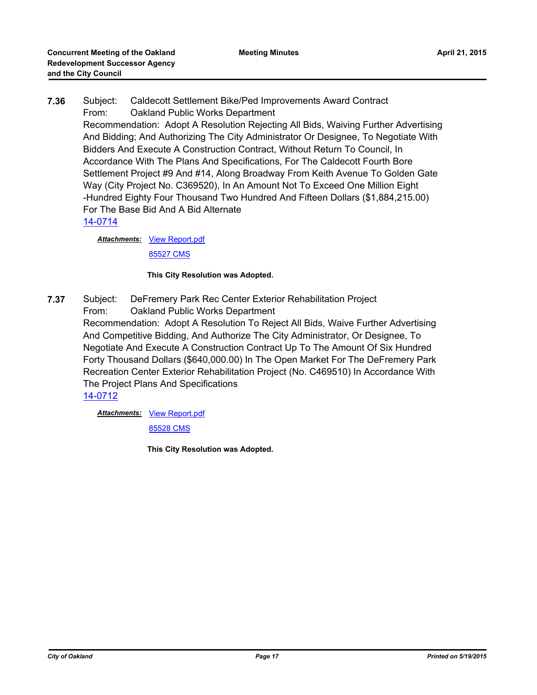# **7.36** Subject: Caldecott Settlement Bike/Ped Improvements Award Contract From: Oakland Public Works Department Recommendation: Adopt A Resolution Rejecting All Bids, Waiving Further Advertising And Bidding; And Authorizing The City Administrator Or Designee, To Negotiate With Bidders And Execute A Construction Contract, Without Return To Council, In Accordance With The Plans And Specifications, For The Caldecott Fourth Bore Settlement Project #9 And #14, Along Broadway From Keith Avenue To Golden Gate Way (City Project No. C369520), In An Amount Not To Exceed One Million Eight -Hundred Eighty Four Thousand Two Hundred And Fifteen Dollars (\$1,884,215.00) For The Base Bid And A Bid Alternate [14-0714](http://oakland.legistar.com/gateway.aspx?m=l&id=/matter.aspx?key=24693)

**Attachments: [View Report.pdf](http://oakland.legistar.com/gateway.aspx?M=F&ID=e5991402-13e2-473b-8dab-14b42c8c5f31.pdf)** 

[85527 CMS](http://oakland.legistar.com/gateway.aspx?M=F&ID=c1e17426-457a-4eb9-b718-db834ef8b6b6.pdf)

### **This City Resolution was Adopted.**

**7.37** Subject: DeFremery Park Rec Center Exterior Rehabilitation Project From: Oakland Public Works Department Recommendation: Adopt A Resolution To Reject All Bids, Waive Further Advertising And Competitive Bidding, And Authorize The City Administrator, Or Designee, To Negotiate And Execute A Construction Contract Up To The Amount Of Six Hundred Forty Thousand Dollars (\$640,000.00) In The Open Market For The DeFremery Park Recreation Center Exterior Rehabilitation Project (No. C469510) In Accordance With The Project Plans And Specifications [14-0712](http://oakland.legistar.com/gateway.aspx?m=l&id=/matter.aspx?key=24691)

**Attachments: [View Report.pdf](http://oakland.legistar.com/gateway.aspx?M=F&ID=5f01dae7-cf69-4c06-9102-f1c4c7474949.pdf)** 

[85528 CMS](http://oakland.legistar.com/gateway.aspx?M=F&ID=5ac3b4b8-eb45-4e94-a0f9-46c7dae56ce7.pdf)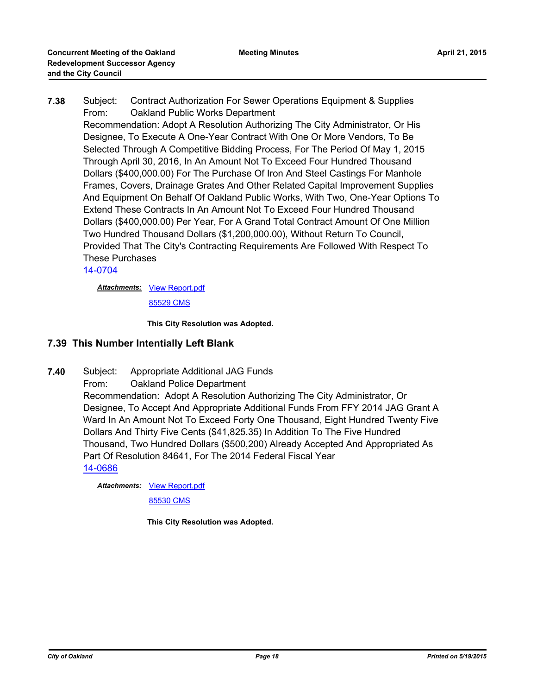**7.38** Subject: Contract Authorization For Sewer Operations Equipment & Supplies From: Oakland Public Works Department Recommendation: Adopt A Resolution Authorizing The City Administrator, Or His Designee, To Execute A One-Year Contract With One Or More Vendors, To Be Selected Through A Competitive Bidding Process, For The Period Of May 1, 2015 Through April 30, 2016, In An Amount Not To Exceed Four Hundred Thousand Dollars (\$400,000.00) For The Purchase Of Iron And Steel Castings For Manhole Frames, Covers, Drainage Grates And Other Related Capital Improvement Supplies And Equipment On Behalf Of Oakland Public Works, With Two, One-Year Options To Extend These Contracts In An Amount Not To Exceed Four Hundred Thousand Dollars (\$400,000.00) Per Year, For A Grand Total Contract Amount Of One Million Two Hundred Thousand Dollars (\$1,200,000.00), Without Return To Council, Provided That The City's Contracting Requirements Are Followed With Respect To These Purchases

### [14-0704](http://oakland.legistar.com/gateway.aspx?m=l&id=/matter.aspx?key=24683)

**Attachments: [View Report.pdf](http://oakland.legistar.com/gateway.aspx?M=F&ID=b7704e68-113e-4325-9b48-329725d0e24b.pdf)** [85529 CMS](http://oakland.legistar.com/gateway.aspx?M=F&ID=c0fca7cb-ac9b-4f65-8993-bbd3e0bbfa76.pdf)

**This City Resolution was Adopted.**

## **7.39 This Number Intentially Left Blank**

**7.40** Subject: Appropriate Additional JAG Funds From: Oakland Police Department Recommendation: Adopt A Resolution Authorizing The City Administrator, Or Designee, To Accept And Appropriate Additional Funds From FFY 2014 JAG Grant A Ward In An Amount Not To Exceed Forty One Thousand, Eight Hundred Twenty Five Dollars And Thirty Five Cents (\$41,825.35) In Addition To The Five Hundred Thousand, Two Hundred Dollars (\$500,200) Already Accepted And Appropriated As Part Of Resolution 84641, For The 2014 Federal Fiscal Year [14-0686](http://oakland.legistar.com/gateway.aspx?m=l&id=/matter.aspx?key=24665)

**Attachments: [View Report.pdf](http://oakland.legistar.com/gateway.aspx?M=F&ID=15aac2ae-2ebe-452c-8966-4024db0e98b1.pdf)** 

[85530 CMS](http://oakland.legistar.com/gateway.aspx?M=F&ID=95835f2a-72ab-420f-ac37-8c5115b93cca.pdf)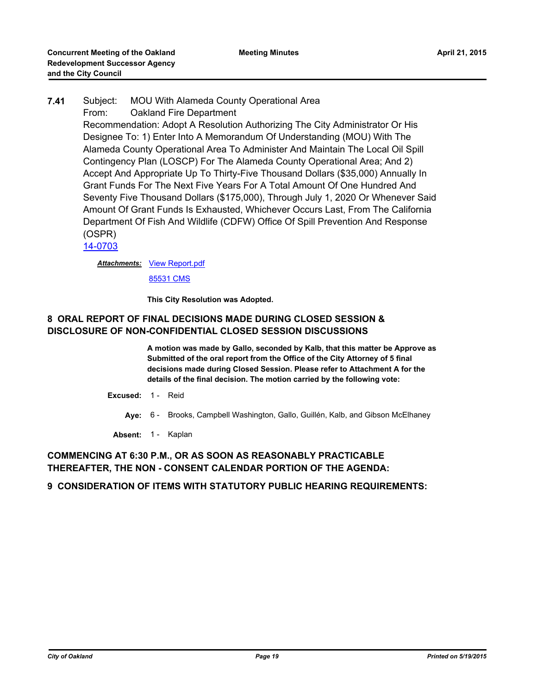# **7.41** Subject: MOU With Alameda County Operational Area From: Oakland Fire Department Recommendation: Adopt A Resolution Authorizing The City Administrator Or His Designee To: 1) Enter Into A Memorandum Of Understanding (MOU) With The Alameda County Operational Area To Administer And Maintain The Local Oil Spill Contingency Plan (LOSCP) For The Alameda County Operational Area; And 2) Accept And Appropriate Up To Thirty-Five Thousand Dollars (\$35,000) Annually In Grant Funds For The Next Five Years For A Total Amount Of One Hundred And Seventy Five Thousand Dollars (\$175,000), Through July 1, 2020 Or Whenever Said Amount Of Grant Funds Is Exhausted, Whichever Occurs Last, From The California Department Of Fish And Wildlife (CDFW) Office Of Spill Prevention And Response (OSPR)

[14-0703](http://oakland.legistar.com/gateway.aspx?m=l&id=/matter.aspx?key=24682)

Attachments: [View Report.pdf](http://oakland.legistar.com/gateway.aspx?M=F&ID=d11bc412-4ddf-47ae-82fb-e57c1b37461d.pdf)

[85531 CMS](http://oakland.legistar.com/gateway.aspx?M=F&ID=98884d27-5dc3-45bd-b467-371c7e86a381.pdf)

**This City Resolution was Adopted.**

## **8 ORAL REPORT OF FINAL DECISIONS MADE DURING CLOSED SESSION & DISCLOSURE OF NON-CONFIDENTIAL CLOSED SESSION DISCUSSIONS**

**A motion was made by Gallo, seconded by Kalb, that this matter be Approve as Submitted of the oral report from the Office of the City Attorney of 5 final decisions made during Closed Session. Please refer to Attachment A for the details of the final decision. The motion carried by the following vote:**

- **Excused:** 1 Reid
	- **Aye:** 6 Brooks, Campbell Washington, Gallo, Guillén, Kalb, and Gibson McElhaney
	- Absent: 1 Kaplan

### **COMMENCING AT 6:30 P.M., OR AS SOON AS REASONABLY PRACTICABLE THEREAFTER, THE NON - CONSENT CALENDAR PORTION OF THE AGENDA:**

### **9 CONSIDERATION OF ITEMS WITH STATUTORY PUBLIC HEARING REQUIREMENTS:**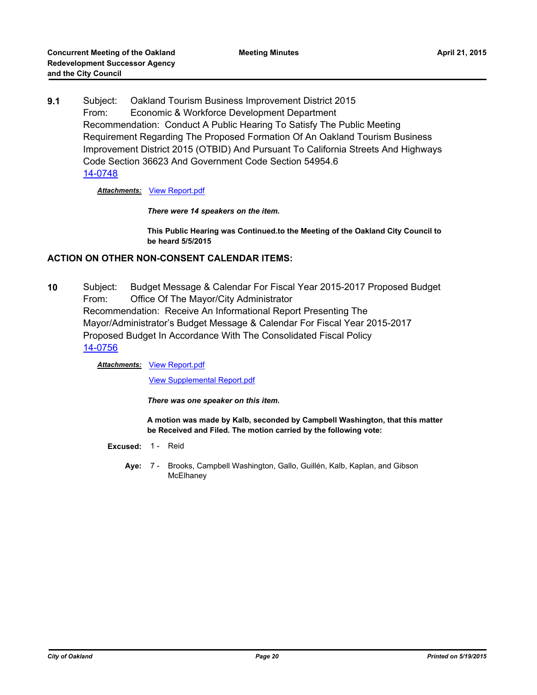**9.1** Subject: Oakland Tourism Business Improvement District 2015 From: Economic & Workforce Development Department Recommendation: Conduct A Public Hearing To Satisfy The Public Meeting Requirement Regarding The Proposed Formation Of An Oakland Tourism Business Improvement District 2015 (OTBID) And Pursuant To California Streets And Highways Code Section 36623 And Government Code Section 54954.6 [14-0748](http://oakland.legistar.com/gateway.aspx?m=l&id=/matter.aspx?key=24727)

*Attachments:* [View Report.pdf](http://oakland.legistar.com/gateway.aspx?M=F&ID=1f64fffa-3a8d-4d9f-afdc-d6b82059041f.pdf)

*There were 14 speakers on the item.*

**This Public Hearing was Continued.to the Meeting of the Oakland City Council to be heard 5/5/2015**

### **ACTION ON OTHER NON-CONSENT CALENDAR ITEMS:**

**10** Subject: Budget Message & Calendar For Fiscal Year 2015-2017 Proposed Budget From: Office Of The Mayor/City Administrator Recommendation: Receive An Informational Report Presenting The Mayor/Administrator's Budget Message & Calendar For Fiscal Year 2015-2017 Proposed Budget In Accordance With The Consolidated Fiscal Policy [14-0756](http://oakland.legistar.com/gateway.aspx?m=l&id=/matter.aspx?key=24735)

### **Attachments: [View Report.pdf](http://oakland.legistar.com/gateway.aspx?M=F&ID=567e2a28-7ee1-4463-930b-3b80fad9393f.pdf)**

[View Supplemental Report.pdf](http://oakland.legistar.com/gateway.aspx?M=F&ID=857b1997-e8c0-4947-9b19-6188db60fade.pdf)

*There was one speaker on this item.*

**A motion was made by Kalb, seconded by Campbell Washington, that this matter be Received and Filed. The motion carried by the following vote:**

- **Excused:** 1 Reid
	- **Aye:** Brooks, Campbell Washington, Gallo, Guillén, Kalb, Kaplan, and Gibson **McElhaney** Ave: 7 -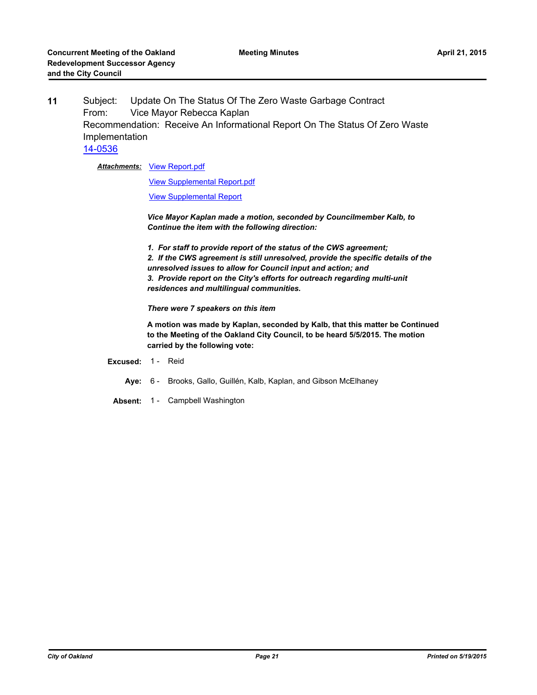**11** Subject: Update On The Status Of The Zero Waste Garbage Contract From: Vice Mayor Rebecca Kaplan Recommendation: Receive An Informational Report On The Status Of Zero Waste Implementation [14-0536](http://oakland.legistar.com/gateway.aspx?m=l&id=/matter.aspx?key=24515)

**Attachments: [View Report.pdf](http://oakland.legistar.com/gateway.aspx?M=F&ID=8fd0df24-09f2-4052-92f5-c1eb0188ac8f.pdf)** 

[View Supplemental Report.pdf](http://oakland.legistar.com/gateway.aspx?M=F&ID=5f0bf0d6-69ae-4509-a7b7-8c5ab2253881.pdf)

[View Supplemental Report](http://oakland.legistar.com/gateway.aspx?M=F&ID=f9b8d2bb-2236-439c-9a37-585cb0f9ff5d.pdf)

*Vice Mayor Kaplan made a motion, seconded by Councilmember Kalb, to Continue the item with the following direction:*

*1. For staff to provide report of the status of the CWS agreement; 2. If the CWS agreement is still unresolved, provide the specific details of the unresolved issues to allow for Council input and action; and 3. Provide report on the City's efforts for outreach regarding multi-unit residences and multilingual communities.*

*There were 7 speakers on this item*

**A motion was made by Kaplan, seconded by Kalb, that this matter be Continued to the Meeting of the Oakland City Council, to be heard 5/5/2015. The motion carried by the following vote:**

- **Excused:** 1 Reid
	- **Aye:** 6 Brooks, Gallo, Guillén, Kalb, Kaplan, and Gibson McElhaney
	- **Absent:** 1 Campbell Washington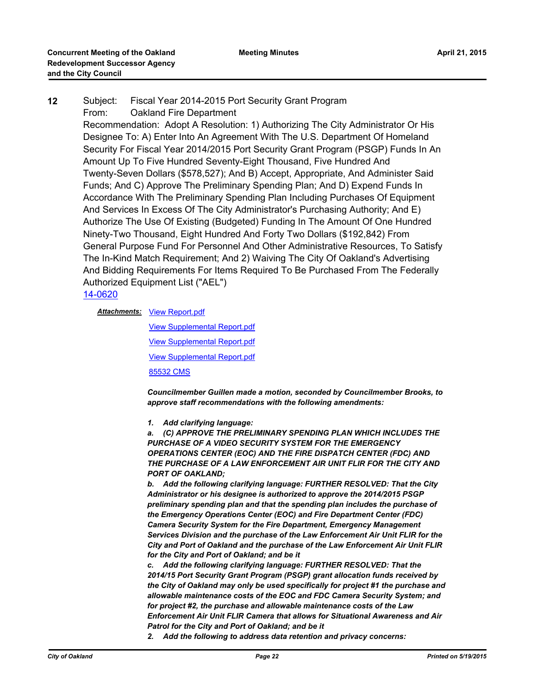**12** Subject: Fiscal Year 2014-2015 Port Security Grant Program From: Oakland Fire Department Recommendation: Adopt A Resolution: 1) Authorizing The City Administrator Or His Designee To: A) Enter Into An Agreement With The U.S. Department Of Homeland Security For Fiscal Year 2014/2015 Port Security Grant Program (PSGP) Funds In An Amount Up To Five Hundred Seventy-Eight Thousand, Five Hundred And Twenty-Seven Dollars (\$578,527); And B) Accept, Appropriate, And Administer Said Funds; And C) Approve The Preliminary Spending Plan; And D) Expend Funds In Accordance With The Preliminary Spending Plan Including Purchases Of Equipment And Services In Excess Of The City Administrator's Purchasing Authority; And E) Authorize The Use Of Existing (Budgeted) Funding In The Amount Of One Hundred Ninety-Two Thousand, Eight Hundred And Forty Two Dollars (\$192,842) From General Purpose Fund For Personnel And Other Administrative Resources, To Satisfy The In-Kind Match Requirement; And 2) Waiving The City Of Oakland's Advertising And Bidding Requirements For Items Required To Be Purchased From The Federally Authorized Equipment List ("AEL")

### [14-0620](http://oakland.legistar.com/gateway.aspx?m=l&id=/matter.aspx?key=24599)

**Attachments: [View Report.pdf](http://oakland.legistar.com/gateway.aspx?M=F&ID=91c0395e-5404-46c4-81c8-35044083378e.pdf)** 

[View Supplemental Report.pdf](http://oakland.legistar.com/gateway.aspx?M=F&ID=ec422501-1e98-4efc-a3a8-0f567b1003f1.pdf) [View Supplemental Report.pdf](http://oakland.legistar.com/gateway.aspx?M=F&ID=864cf8c9-570d-4b6f-aec9-6f9cecd9e2d8.pdf) [View Supplemental Report.pdf](http://oakland.legistar.com/gateway.aspx?M=F&ID=d0f96a30-1bc0-41cf-a74c-d69cdddc233c.pdf) [85532 CMS](http://oakland.legistar.com/gateway.aspx?M=F&ID=f93b919f-c406-4592-8c6a-83350ece080f.pdf)

*Councilmember Guillen made a motion, seconded by Councilmember Brooks, to approve staff recommendations with the following amendments:*

*1. Add clarifying language:*

*a. (C) APPROVE THE PRELIMINARY SPENDING PLAN WHICH INCLUDES THE PURCHASE OF A VIDEO SECURITY SYSTEM FOR THE EMERGENCY OPERATIONS CENTER (EOC) AND THE FIRE DISPATCH CENTER (FDC) AND THE PURCHASE OF A LAW ENFORCEMENT AIR UNIT FLIR FOR THE CITY AND PORT OF OAKLAND;*

*b. Add the following clarifying language: FURTHER RESOLVED: That the City Administrator or his designee is authorized to approve the 2014/2015 PSGP preliminary spending plan and that the spending plan includes the purchase of the Emergency Operations Center (EOC) and Fire Department Center (FDC) Camera Security System for the Fire Department, Emergency Management Services Division and the purchase of the Law Enforcement Air Unit FLIR for the City and Port of Oakland and the purchase of the Law Enforcement Air Unit FLIR for the City and Port of Oakland; and be it*

*c. Add the following clarifying language: FURTHER RESOLVED: That the 2014/15 Port Security Grant Program (PSGP) grant allocation funds received by the City of Oakland may only be used specifically for project #1 the purchase and allowable maintenance costs of the EOC and FDC Camera Security System; and for project #2, the purchase and allowable maintenance costs of the Law Enforcement Air Unit FLIR Camera that allows for Situational Awareness and Air Patrol for the City and Port of Oakland; and be it*

*2. Add the following to address data retention and privacy concerns:*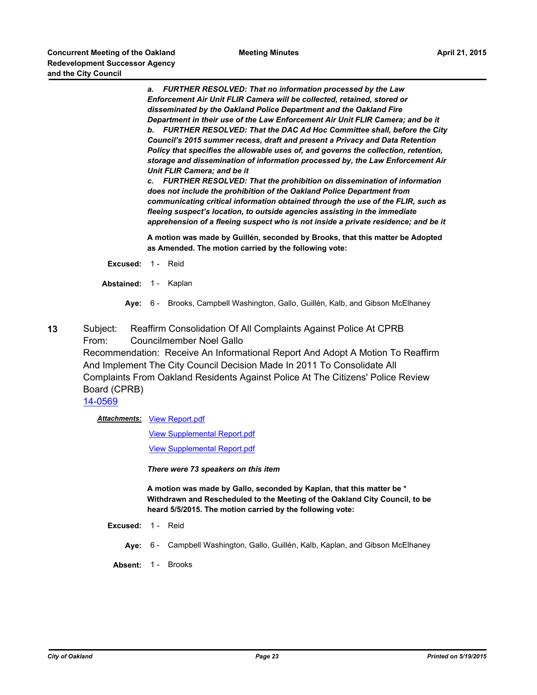*a. FURTHER RESOLVED: That no information processed by the Law Enforcement Air Unit FLIR Camera will be collected, retained, stored or disseminated by the Oakland Police Department and the Oakland Fire Department in their use of the Law Enforcement Air Unit FLIR Camera; and be it b. FURTHER RESOLVED: That the DAC Ad Hoc Committee shall, before the City Council's 2015 summer recess, draft and present a Privacy and Data Retention Policy that specifies the allowable uses of, and governs the collection, retention, storage and dissemination of information processed by, the Law Enforcement Air Unit FLIR Camera; and be it*

*c. FURTHER RESOLVED: That the prohibition on dissemination of information does not include the prohibition of the Oakland Police Department from communicating critical information obtained through the use of the FLIR, such as fleeing suspect's location, to outside agencies assisting in the immediate apprehension of a fleeing suspect who is not inside a private residence; and be it*

**A motion was made by Guillén, seconded by Brooks, that this matter be Adopted as Amended. The motion carried by the following vote:**

- **Excused:** 1 Reid
- **Abstained:** 1 Kaplan
	- **Aye:** 6 Brooks, Campbell Washington, Gallo, Guillén, Kalb, and Gibson McElhaney
- **13** Subject: Reaffirm Consolidation Of All Complaints Against Police At CPRB From: Councilmember Noel Gallo Recommendation: Receive An Informational Report And Adopt A Motion To Reaffirm And Implement The City Council Decision Made In 2011 To Consolidate All Complaints From Oakland Residents Against Police At The Citizens' Police Review Board (CPRB)

[14-0569](http://oakland.legistar.com/gateway.aspx?m=l&id=/matter.aspx?key=24548)

Attachments: [View Report.pdf](http://oakland.legistar.com/gateway.aspx?M=F&ID=25bb414a-01ce-45df-93f5-99dec2a5066a.pdf)

[View Supplemental Report.pdf](http://oakland.legistar.com/gateway.aspx?M=F&ID=41b92f96-0d60-4797-9477-5f07c430b353.pdf)

[View Supplemental Report.pdf](http://oakland.legistar.com/gateway.aspx?M=F&ID=90b51ef4-ef7c-4354-9931-53530dcf50d9.pdf)

*There were 73 speakers on this item*

**A motion was made by Gallo, seconded by Kaplan, that this matter be \* Withdrawn and Rescheduled to the Meeting of the Oakland City Council, to be heard 5/5/2015. The motion carried by the following vote:**

- **Excused:** 1 Reid
	- **Aye:** 6 Campbell Washington, Gallo, Guillén, Kalb, Kaplan, and Gibson McElhaney
	- **Absent:** 1 Brooks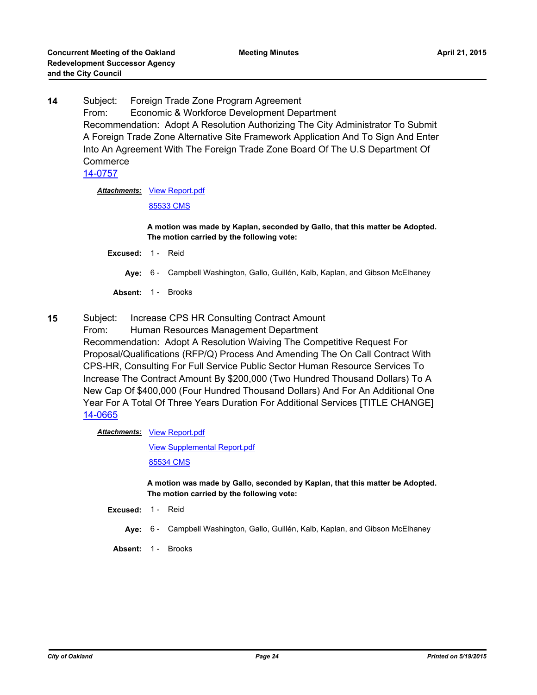**14** Subject: Foreign Trade Zone Program Agreement From: Economic & Workforce Development Department Recommendation: Adopt A Resolution Authorizing The City Administrator To Submit A Foreign Trade Zone Alternative Site Framework Application And To Sign And Enter Into An Agreement With The Foreign Trade Zone Board Of The U.S Department Of **Commerce** [14-0757](http://oakland.legistar.com/gateway.aspx?m=l&id=/matter.aspx?key=24736)

**Attachments: [View Report.pdf](http://oakland.legistar.com/gateway.aspx?M=F&ID=319d8fae-caa9-48af-b6a5-0ef7fed58056.pdf)** 

[85533 CMS](http://oakland.legistar.com/gateway.aspx?M=F&ID=dd2253e1-55db-4081-8995-0382024d863e.pdf)

**A motion was made by Kaplan, seconded by Gallo, that this matter be Adopted. The motion carried by the following vote:**

**Excused:** 1 - Reid

**Aye:** 6 - Campbell Washington, Gallo, Guillén, Kalb, Kaplan, and Gibson McElhaney

Absent: 1 - Brooks

**15** Subject: Increase CPS HR Consulting Contract Amount

From: Human Resources Management Department Recommendation: Adopt A Resolution Waiving The Competitive Request For Proposal/Qualifications (RFP/Q) Process And Amending The On Call Contract With CPS-HR, Consulting For Full Service Public Sector Human Resource Services To Increase The Contract Amount By \$200,000 (Two Hundred Thousand Dollars) To A New Cap Of \$400,000 (Four Hundred Thousand Dollars) And For An Additional One Year For A Total Of Three Years Duration For Additional Services [TITLE CHANGE] [14-0665](http://oakland.legistar.com/gateway.aspx?m=l&id=/matter.aspx?key=24644)

Attachments: [View Report.pdf](http://oakland.legistar.com/gateway.aspx?M=F&ID=623081c6-13b1-4fe6-ba7e-c682ac5b1217.pdf)

[View Supplemental Report.pdf](http://oakland.legistar.com/gateway.aspx?M=F&ID=2c647e0e-cf44-4409-866e-6ac2ff0cc32b.pdf)

[85534 CMS](http://oakland.legistar.com/gateway.aspx?M=F&ID=d556eb81-15f1-4e4d-8016-05c238592483.pdf)

**A motion was made by Gallo, seconded by Kaplan, that this matter be Adopted. The motion carried by the following vote:**

- **Excused:** 1 Reid
	- **Aye:** 6 Campbell Washington, Gallo, Guillén, Kalb, Kaplan, and Gibson McElhaney
- Absent: 1 Brooks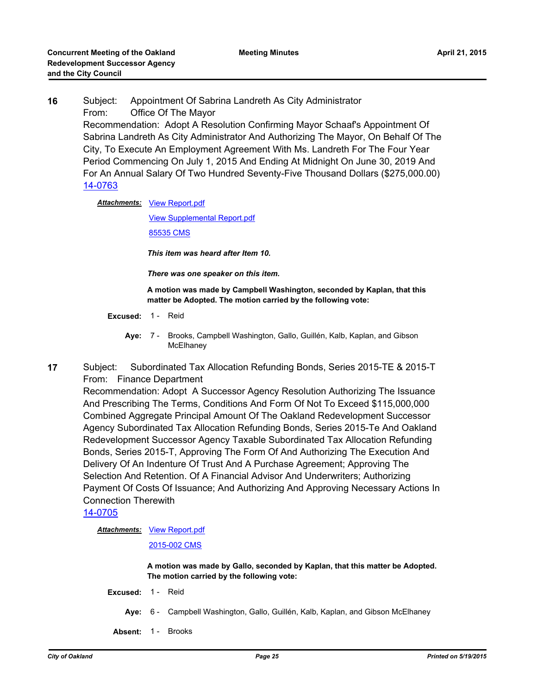**16** Subject: Appointment Of Sabrina Landreth As City Administrator From: Office Of The Mayor Recommendation: Adopt A Resolution Confirming Mayor Schaaf's Appointment Of Sabrina Landreth As City Administrator And Authorizing The Mayor, On Behalf Of The City, To Execute An Employment Agreement With Ms. Landreth For The Four Year Period Commencing On July 1, 2015 And Ending At Midnight On June 30, 2019 And For An Annual Salary Of Two Hundred Seventy-Five Thousand Dollars (\$275,000.00) [14-0763](http://oakland.legistar.com/gateway.aspx?m=l&id=/matter.aspx?key=24742)

Attachments: [View Report.pdf](http://oakland.legistar.com/gateway.aspx?M=F&ID=37108af1-a108-4b90-b4d8-f01738dcd2a9.pdf)

[View Supplemental Report.pdf](http://oakland.legistar.com/gateway.aspx?M=F&ID=3904ae4e-5ce1-4825-b67e-e4d8817478be.pdf) [85535 CMS](http://oakland.legistar.com/gateway.aspx?M=F&ID=f5d0d5a0-34bb-4dc7-a7f7-41238c857265.pdf)

*This item was heard after Item 10.*

*There was one speaker on this item.*

**A motion was made by Campbell Washington, seconded by Kaplan, that this matter be Adopted. The motion carried by the following vote:**

- **Excused:** 1 Reid
	- **Aye:** Brooks, Campbell Washington, Gallo, Guillén, Kalb, Kaplan, and Gibson **McElhanev** Ave: 7 -
- **17** Subject: Subordinated Tax Allocation Refunding Bonds, Series 2015-TE & 2015-T From: Finance Department

Recommendation: Adopt A Successor Agency Resolution Authorizing The Issuance And Prescribing The Terms, Conditions And Form Of Not To Exceed \$115,000,000 Combined Aggregate Principal Amount Of The Oakland Redevelopment Successor Agency Subordinated Tax Allocation Refunding Bonds, Series 2015-Te And Oakland Redevelopment Successor Agency Taxable Subordinated Tax Allocation Refunding Bonds, Series 2015-T, Approving The Form Of And Authorizing The Execution And Delivery Of An Indenture Of Trust And A Purchase Agreement; Approving The Selection And Retention. Of A Financial Advisor And Underwriters; Authorizing Payment Of Costs Of Issuance; And Authorizing And Approving Necessary Actions In Connection Therewith

[14-0705](http://oakland.legistar.com/gateway.aspx?m=l&id=/matter.aspx?key=24684)

**Attachments: [View Report.pdf](http://oakland.legistar.com/gateway.aspx?M=F&ID=60531634-9492-4aa9-9236-b930425ccbc4.pdf)** 

[2015-002 CMS](http://oakland.legistar.com/gateway.aspx?M=F&ID=ac870d38-c888-425d-b1a5-2be529f01f1b.pdf)

**A motion was made by Gallo, seconded by Kaplan, that this matter be Adopted. The motion carried by the following vote:**

- **Excused:** 1 Reid
	- **Aye:** 6 Campbell Washington, Gallo, Guillén, Kalb, Kaplan, and Gibson McElhaney
- **Absent:** 1 Brooks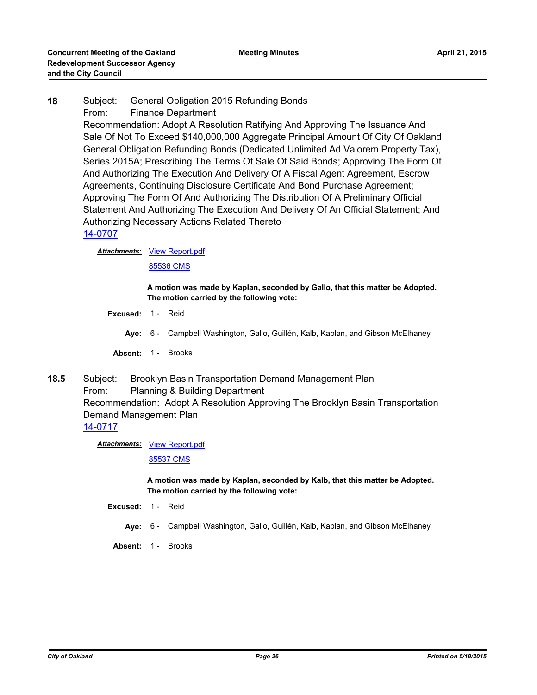# **18** Subject: General Obligation 2015 Refunding Bonds From: Finance Department Recommendation: Adopt A Resolution Ratifying And Approving The Issuance And Sale Of Not To Exceed \$140,000,000 Aggregate Principal Amount Of City Of Oakland General Obligation Refunding Bonds (Dedicated Unlimited Ad Valorem Property Tax), Series 2015A; Prescribing The Terms Of Sale Of Said Bonds; Approving The Form Of And Authorizing The Execution And Delivery Of A Fiscal Agent Agreement, Escrow Agreements, Continuing Disclosure Certificate And Bond Purchase Agreement; Approving The Form Of And Authorizing The Distribution Of A Preliminary Official Statement And Authorizing The Execution And Delivery Of An Official Statement; And Authorizing Necessary Actions Related Thereto [14-0707](http://oakland.legistar.com/gateway.aspx?m=l&id=/matter.aspx?key=24686)

**Attachments: [View Report.pdf](http://oakland.legistar.com/gateway.aspx?M=F&ID=65bcc29e-ecf9-4e15-93da-3ec4f8f0bb8d.pdf)** 

[85536 CMS](http://oakland.legistar.com/gateway.aspx?M=F&ID=7194c03c-39ae-4717-b6ad-6e27b3b55083.pdf)

**A motion was made by Kaplan, seconded by Gallo, that this matter be Adopted. The motion carried by the following vote:**

- **Excused:** 1 Reid
	- **Aye:** 6 Campbell Washington, Gallo, Guillén, Kalb, Kaplan, and Gibson McElhaney
- Absent: 1 Brooks
- **18.5** Subject: Brooklyn Basin Transportation Demand Management Plan From: Planning & Building Department Recommendation: Adopt A Resolution Approving The Brooklyn Basin Transportation Demand Management Plan

### [14-0717](http://oakland.legistar.com/gateway.aspx?m=l&id=/matter.aspx?key=24696)

**Attachments: [View Report.pdf](http://oakland.legistar.com/gateway.aspx?M=F&ID=ca1a1d97-d1fb-4195-b121-a4f3855a6c64.pdf)** 

[85537 CMS](http://oakland.legistar.com/gateway.aspx?M=F&ID=c5d75bc8-3340-4017-86e3-d55a7bfba315.pdf)

**A motion was made by Kaplan, seconded by Kalb, that this matter be Adopted. The motion carried by the following vote:**

- **Excused:** 1 Reid
	- **Aye:** 6 Campbell Washington, Gallo, Guillén, Kalb, Kaplan, and Gibson McElhaney
- **Absent:** 1 Brooks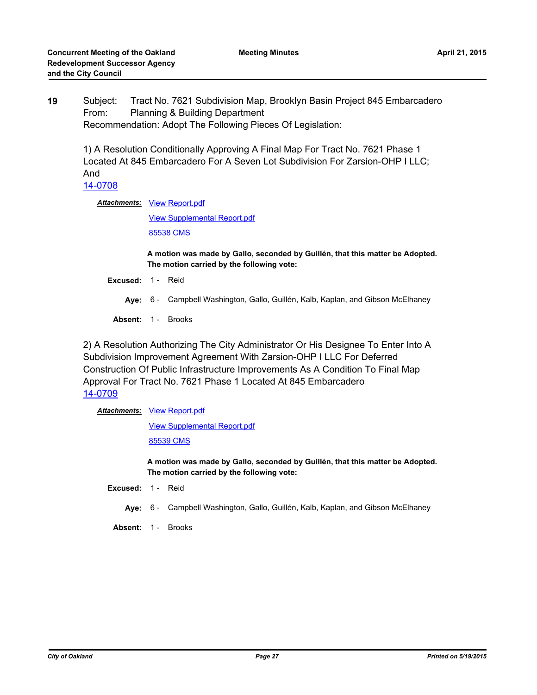**19** Subject: Tract No. 7621 Subdivision Map, Brooklyn Basin Project 845 Embarcadero From: Planning & Building Department Recommendation: Adopt The Following Pieces Of Legislation:

1) A Resolution Conditionally Approving A Final Map For Tract No. 7621 Phase 1 Located At 845 Embarcadero For A Seven Lot Subdivision For Zarsion-OHP I LLC; And

[14-0708](http://oakland.legistar.com/gateway.aspx?m=l&id=/matter.aspx?key=24687)

Attachments: [View Report.pdf](http://oakland.legistar.com/gateway.aspx?M=F&ID=5cbb9896-aa22-40a1-b78e-8819ce780e51.pdf)

[View Supplemental Report.pdf](http://oakland.legistar.com/gateway.aspx?M=F&ID=0108e547-848e-4771-b108-7d1f7eb45e96.pdf) [85538 CMS](http://oakland.legistar.com/gateway.aspx?M=F&ID=37242f90-d796-4e5f-964c-bc7855b1029d.pdf)

**A motion was made by Gallo, seconded by Guillén, that this matter be Adopted. The motion carried by the following vote:**

- **Excused:** 1 Reid
	- **Aye:** 6 Campbell Washington, Gallo, Guillén, Kalb, Kaplan, and Gibson McElhaney
- **Absent:** 1 Brooks

2) A Resolution Authorizing The City Administrator Or His Designee To Enter Into A Subdivision Improvement Agreement With Zarsion-OHP I LLC For Deferred Construction Of Public Infrastructure Improvements As A Condition To Final Map Approval For Tract No. 7621 Phase 1 Located At 845 Embarcadero [14-0709](http://oakland.legistar.com/gateway.aspx?m=l&id=/matter.aspx?key=24688)

### Attachments: [View Report.pdf](http://oakland.legistar.com/gateway.aspx?M=F&ID=929cef51-0793-4c27-91ac-51c65238f41e.pdf)

[View Supplemental Report.pdf](http://oakland.legistar.com/gateway.aspx?M=F&ID=6e842ca7-c18e-4efa-89e4-a88cfb4819a5.pdf)

[85539 CMS](http://oakland.legistar.com/gateway.aspx?M=F&ID=35a49e61-6d63-480a-9562-d6ade48de865.pdf)

**A motion was made by Gallo, seconded by Guillén, that this matter be Adopted. The motion carried by the following vote:**

- **Excused:** 1 Reid
	- **Aye:** 6 Campbell Washington, Gallo, Guillén, Kalb, Kaplan, and Gibson McElhaney
- **Absent:** 1 Brooks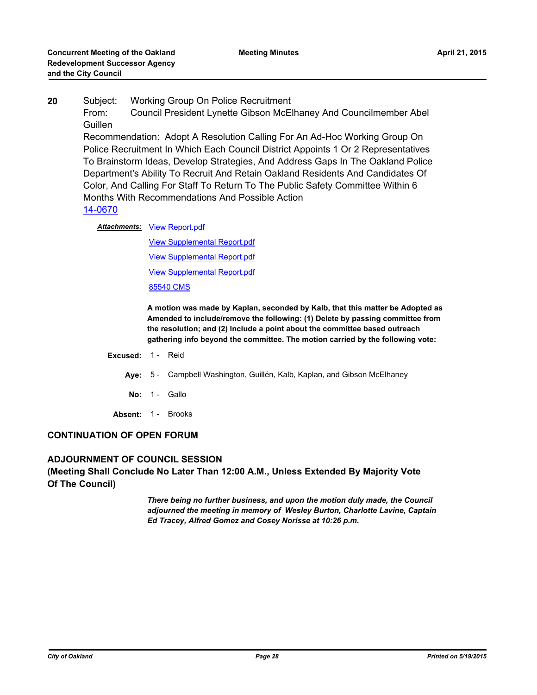**20** Subject: Working Group On Police Recruitment From: Council President Lynette Gibson McElhaney And Councilmember Abel **Guillen** Recommendation: Adopt A Resolution Calling For An Ad-Hoc Working Group On Police Recruitment In Which Each Council District Appoints 1 Or 2 Representatives To Brainstorm Ideas, Develop Strategies, And Address Gaps In The Oakland Police

Department's Ability To Recruit And Retain Oakland Residents And Candidates Of Color, And Calling For Staff To Return To The Public Safety Committee Within 6 Months With Recommendations And Possible Action

### [14-0670](http://oakland.legistar.com/gateway.aspx?m=l&id=/matter.aspx?key=24649)

**Attachments: [View Report.pdf](http://oakland.legistar.com/gateway.aspx?M=F&ID=652ea4ca-ff05-409e-ad00-0cfdfa5cbabd.pdf)** 

[View Supplemental Report.pdf](http://oakland.legistar.com/gateway.aspx?M=F&ID=d64f3421-5363-498a-967e-90dc7e52b8bb.pdf) [View Supplemental Report.pdf](http://oakland.legistar.com/gateway.aspx?M=F&ID=64814086-0043-4506-b33e-8a1829bc3d06.pdf) [View Supplemental Report.pdf](http://oakland.legistar.com/gateway.aspx?M=F&ID=7e3b06d1-9382-4587-9169-1b8e059e379a.pdf) [85540 CMS](http://oakland.legistar.com/gateway.aspx?M=F&ID=7140a434-9f5e-4357-a31f-8bc3a3e9425d.pdf)

**A motion was made by Kaplan, seconded by Kalb, that this matter be Adopted as Amended to include/remove the following: (1) Delete by passing committee from the resolution; and (2) Include a point about the committee based outreach gathering info beyond the committee. The motion carried by the following vote:**

#### **Excused:** 1 - Reid

**Aye:** 5 - Campbell Washington, Guillén, Kalb, Kaplan, and Gibson McElhaney

- **No:** 1 Gallo
- **Absent:** 1 Brooks

### **CONTINUATION OF OPEN FORUM**

**ADJOURNMENT OF COUNCIL SESSION (Meeting Shall Conclude No Later Than 12:00 A.M., Unless Extended By Majority Vote Of The Council)**

> *There being no further business, and upon the motion duly made, the Council adjourned the meeting in memory of Wesley Burton, Charlotte Lavine, Captain Ed Tracey, Alfred Gomez and Cosey Norisse at 10:26 p.m.*